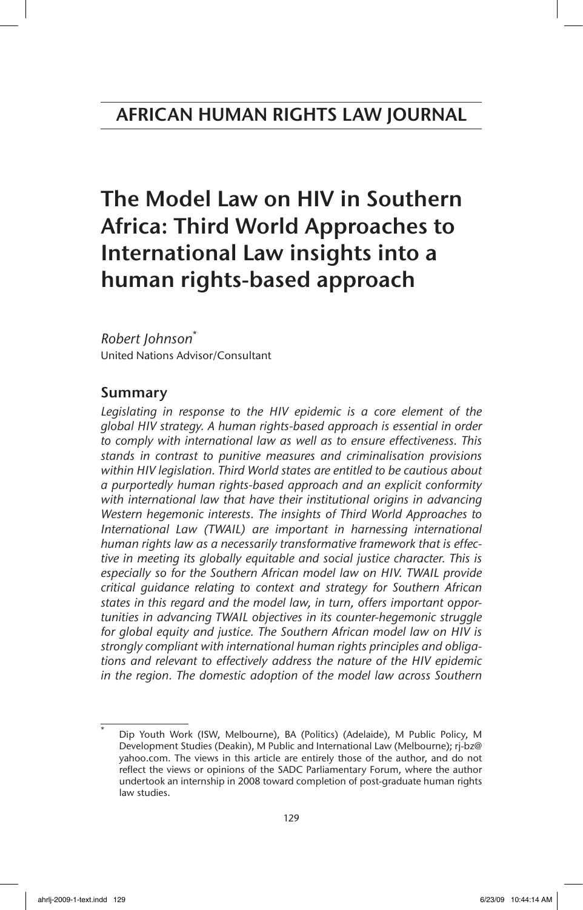# The Model Law on HIV in Southern Africa: Third World Approaches to International Law insights into a human rights-based approach

# *Robert Johnson*\*

United Nations Advisor/Consultant

# Summary

*Legislating in response to the HIV epidemic is a core element of the global HIV strategy. A human rights-based approach is essential in order to comply with international law as well as to ensure effectiveness. This stands in contrast to punitive measures and criminalisation provisions within HIV legislation. Third World states are entitled to be cautious about a purportedly human rights-based approach and an explicit conformity*  with international law that have their institutional origins in advancing *Western hegemonic interests. The insights of Third World Approaches to International Law (TWAIL) are important in harnessing international human rights law as a necessarily transformative framework that is effective in meeting its globally equitable and social justice character. This is especially so for the Southern African model law on HIV. TWAIL provide critical guidance relating to context and strategy for Southern African states in this regard and the model law, in turn, offers important opportunities in advancing TWAIL objectives in its counter-hegemonic struggle for global equity and justice. The Southern African model law on HIV is strongly compliant with international human rights principles and obligations and relevant to effectively address the nature of the HIV epidemic in the region. The domestic adoption of the model law across Southern*

Dip Youth Work (ISW, Melbourne), BA (Politics) (Adelaide), M Public Policy, M Development Studies (Deakin), M Public and International Law (Melbourne); rj-bz@ yahoo.com. The views in this article are entirely those of the author, and do not reflect the views or opinions of the SADC Parliamentary Forum, where the author undertook an internship in 2008 toward completion of post-graduate human rights law studies.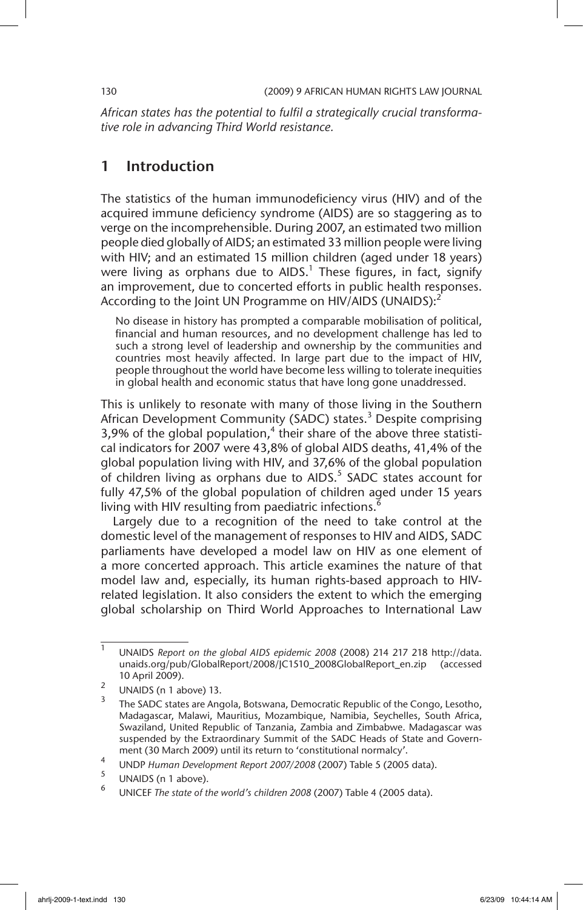*African states has the potential to fulfil a strategically crucial transformative role in advancing Third World resistance.*

# 1 Introduction

The statistics of the human immunodeficiency virus (HIV) and of the acquired immune deficiency syndrome (AIDS) are so staggering as to verge on the incomprehensible. During 2007, an estimated two million people died globally of AIDS; an estimated 33 million people were living with HIV; and an estimated 15 million children (aged under 18 years) were living as orphans due to AIDS. $^1$  These figures, in fact, signify an improvement, due to concerted efforts in public health responses. According to the Joint UN Programme on HIV/AIDS (UNAIDS): $<sup>2</sup>$ </sup>

No disease in history has prompted a comparable mobilisation of political, financial and human resources, and no development challenge has led to such a strong level of leadership and ownership by the communities and countries most heavily affected. In large part due to the impact of HIV, people throughout the world have become less willing to tolerate inequities in global health and economic status that have long gone unaddressed.

This is unlikely to resonate with many of those living in the Southern African Development Community (SADC) states.<sup>3</sup> Despite comprising 3,9% of the global population, $<sup>4</sup>$  their share of the above three statisti-</sup> cal indicators for 2007 were 43,8% of global AIDS deaths, 41,4% of the global population living with HIV, and 37,6% of the global population of children living as orphans due to AIDS.<sup>5</sup> SADC states account for fully 47,5% of the global population of children aged under 15 years living with HIV resulting from paediatric infections.

Largely due to a recognition of the need to take control at the domestic level of the management of responses to HIV and AIDS, SADC parliaments have developed a model law on HIV as one element of a more concerted approach. This article examines the nature of that model law and, especially, its human rights-based approach to HIVrelated legislation. It also considers the extent to which the emerging global scholarship on Third World Approaches to International Law

<sup>1</sup> UNAIDS *Report on the global AIDS epidemic 2008* (2008) 214 217 218 http://data. unaids.org/pub/GlobalReport/2008/JC1510\_2008GlobalReport\_en.zip (accessed 10 April 2009).

 $\frac{2}{3}$  UNAIDS (n 1 above) 13.

The SADC states are Angola, Botswana, Democratic Republic of the Congo, Lesotho, Madagascar, Malawi, Mauritius, Mozambique, Namibia, Seychelles, South Africa, Swaziland, United Republic of Tanzania, Zambia and Zimbabwe. Madagascar was suspended by the Extraordinary Summit of the SADC Heads of State and Government (30 March 2009) until its return to 'constitutional normalcy'.

<sup>4</sup> UNDP *Human Development Report 2007/2008* (2007) Table 5 (2005 data).

 $\frac{3}{6}$  UNAIDS (n 1 above).

<sup>6</sup> UNICEF *The state of the world's children 2008* (2007) Table 4 (2005 data).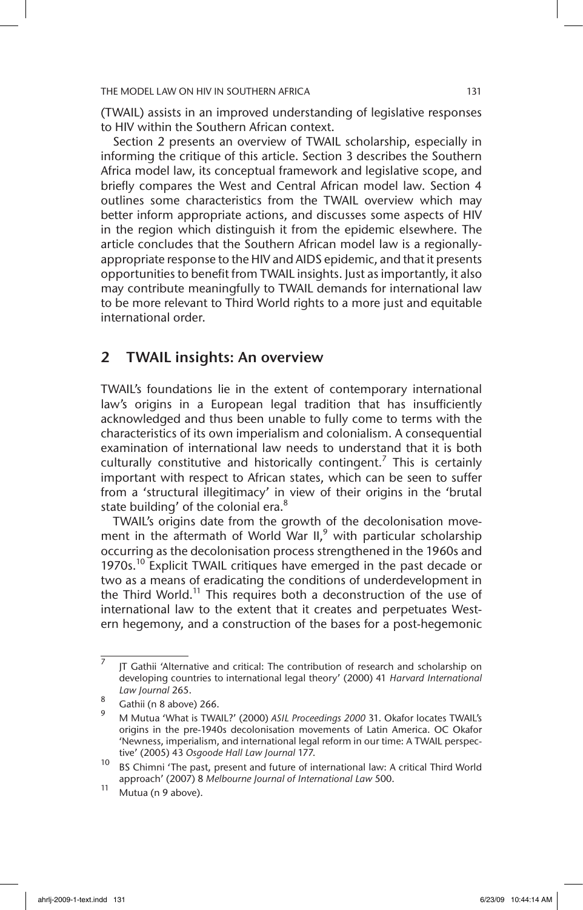(TWAIL) assists in an improved understanding of legislative responses to HIV within the Southern African context.

Section 2 presents an overview of TWAIL scholarship, especially in informing the critique of this article. Section 3 describes the Southern Africa model law, its conceptual framework and legislative scope, and briefly compares the West and Central African model law. Section 4 outlines some characteristics from the TWAIL overview which may better inform appropriate actions, and discusses some aspects of HIV in the region which distinguish it from the epidemic elsewhere. The article concludes that the Southern African model law is a regionallyappropriate response to the HIV and AIDS epidemic, and that it presents opportunities to benefit from TWAIL insights. Just as importantly, it also may contribute meaningfully to TWAIL demands for international law to be more relevant to Third World rights to a more just and equitable international order.

## 2 TWAIL insights: An overview

TWAIL's foundations lie in the extent of contemporary international law's origins in a European legal tradition that has insufficiently acknowledged and thus been unable to fully come to terms with the characteristics of its own imperialism and colonialism. A consequential examination of international law needs to understand that it is both culturally constitutive and historically contingent.<sup>7</sup> This is certainly important with respect to African states, which can be seen to suffer from a 'structural illegitimacy' in view of their origins in the 'brutal state building' of the colonial era.<sup>8</sup>

TWAIL's origins date from the growth of the decolonisation movement in the aftermath of World War  $II$ ,<sup>9</sup> with particular scholarship occurring as the decolonisation process strengthened in the 1960s and 1970s.<sup>10</sup> Explicit TWAIL critiques have emerged in the past decade or two as a means of eradicating the conditions of underdevelopment in the Third World.<sup>11</sup> This requires both a deconstruction of the use of international law to the extent that it creates and perpetuates Western hegemony, and a construction of the bases for a post-hegemonic

<sup>7</sup> JT Gathii 'Alternative and critical: The contribution of research and scholarship on developing countries to international legal theory' (2000) 41 *Harvard International Law Journal* 265.

 $\frac{8}{9}$  Gathii (n 8 above) 266.

<sup>9</sup> M Mutua 'What is TWAIL?' (2000) *ASIL Proceedings 2000* 31. Okafor locates TWAIL's origins in the pre-1940s decolonisation movements of Latin America. OC Okafor 'Newness, imperialism, and international legal reform in our time: A TWAIL perspective' (2005) 43 *Osgoode Hall Law Journal* 177.

<sup>10</sup> BS Chimni 'The past, present and future of international law: A critical Third World approach' (2007) 8 *Melbourne Journal of International Law* 500.

 $11$  Mutua (n 9 above).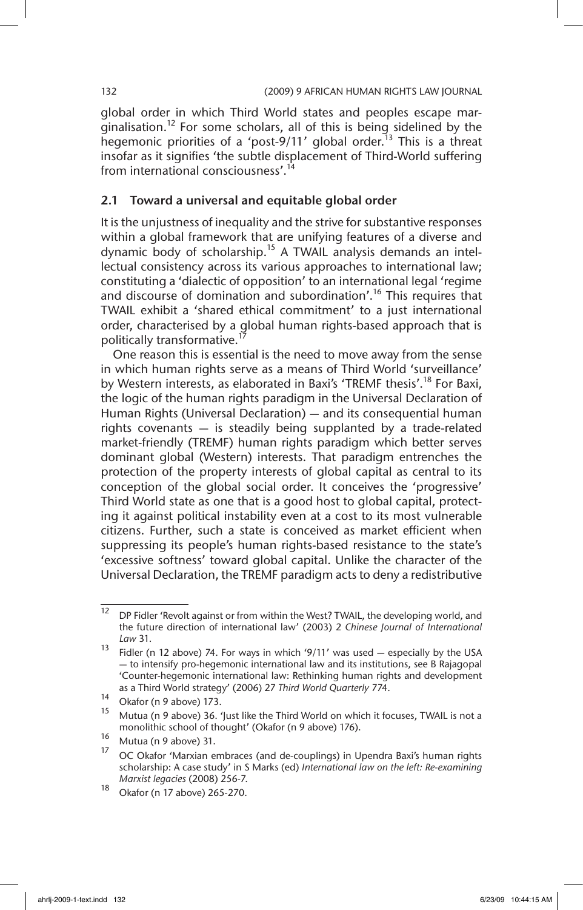global order in which Third World states and peoples escape marginalisation.<sup>12</sup> For some scholars, all of this is being sidelined by the hegemonic priorities of a 'post-9/11' global order.<sup>13</sup> This is a threat insofar as it signifies 'the subtle displacement of Third-World suffering from international consciousness'.<sup>14</sup>

### 2.1 Toward a universal and equitable global order

It is the unjustness of inequality and the strive for substantive responses within a global framework that are unifying features of a diverse and dynamic body of scholarship.<sup>15</sup> A TWAIL analysis demands an intellectual consistency across its various approaches to international law; constituting a 'dialectic of opposition' to an international legal 'regime and discourse of domination and subordination'.<sup>16</sup> This requires that TWAIL exhibit a 'shared ethical commitment' to a just international order, characterised by a global human rights-based approach that is politically transformative.<sup>1</sup>

One reason this is essential is the need to move away from the sense in which human rights serve as a means of Third World 'surveillance' by Western interests, as elaborated in Baxi's 'TREMF thesis'.<sup>18</sup> For Baxi, the logic of the human rights paradigm in the Universal Declaration of Human Rights (Universal Declaration) — and its consequential human rights covenants — is steadily being supplanted by a trade-related market-friendly (TREMF) human rights paradigm which better serves dominant global (Western) interests. That paradigm entrenches the protection of the property interests of global capital as central to its conception of the global social order. It conceives the 'progressive' Third World state as one that is a good host to global capital, protecting it against political instability even at a cost to its most vulnerable citizens. Further, such a state is conceived as market efficient when suppressing its people's human rights-based resistance to the state's 'excessive softness' toward global capital. Unlike the character of the Universal Declaration, the TREMF paradigm acts to deny a redistributive

<sup>&</sup>lt;sup>12</sup> DP Fidler 'Revolt against or from within the West? TWAIL, the developing world, and the future direction of international law' (2003) 2 *Chinese Journal of International Law* 31.

<sup>&</sup>lt;sup>13</sup> Fidler (n 12 above) 74. For ways in which '9/11' was used  $-$  especially by the USA — to intensify pro-hegemonic international law and its institutions, see B Rajagopal 'Counter-hegemonic international law: Rethinking human rights and development as a Third World strategy' (2006) 27 *Third World Quarterly* 774.

<sup>14</sup> Okafor (n 9 above) 173.

Mutua (n 9 above) 36. 'Just like the Third World on which it focuses, TWAIL is not a monolithic school of thought' (Okafor (n 9 above) 176).

 $^{16}$  Mutua (n 9 above) 31.

<sup>17</sup> OC Okafor 'Marxian embraces (and de-couplings) in Upendra Baxi's human rights scholarship: A case study' in S Marks (ed) *International law on the left: Re-examining Marxist legacies* (2008) 256-7.

 $\frac{18}{18}$  Okafor (n 17 above) 265-270.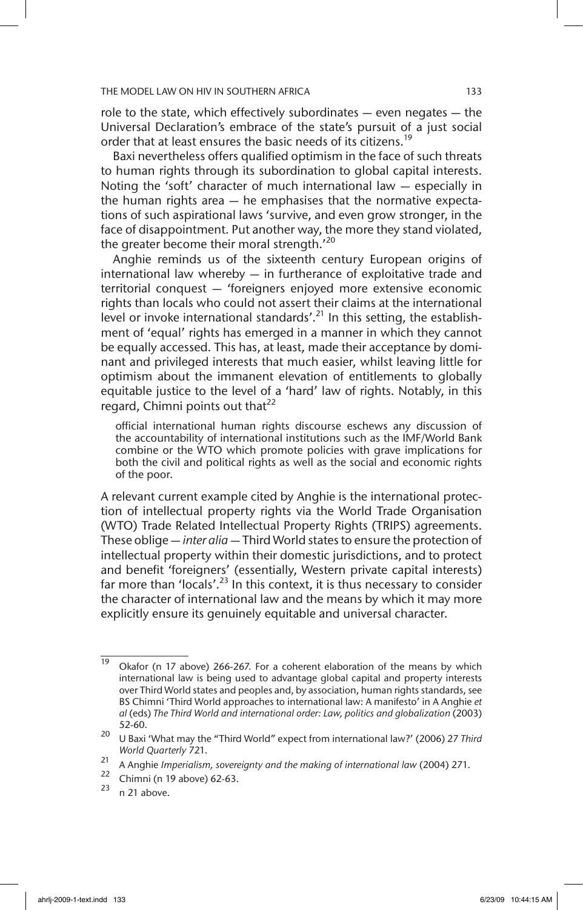role to the state, which effectively subordinates — even negates — the Universal Declaration's embrace of the state's pursuit of a just social order that at least ensures the basic needs of its citizens.<sup>19</sup>

Baxi nevertheless offers qualified optimism in the face of such threats to human rights through its subordination to global capital interests. Noting the 'soft' character of much international law — especially in the human rights area — he emphasises that the normative expectations of such aspirational laws 'survive, and even grow stronger, in the face of disappointment. Put another way, the more they stand violated, the greater become their moral strength.'20

Anghie reminds us of the sixteenth century European origins of international law whereby — in furtherance of exploitative trade and territorial conquest — 'foreigners enjoyed more extensive economic rights than locals who could not assert their claims at the international level or invoke international standards'.<sup>21</sup> In this setting, the establishment of 'equal' rights has emerged in a manner in which they cannot be equally accessed. This has, at least, made their acceptance by dominant and privileged interests that much easier, whilst leaving little for optimism about the immanent elevation of entitlements to globally equitable justice to the level of a 'hard' law of rights. Notably, in this regard, Chimni points out that<sup>22</sup>

official international human rights discourse eschews any discussion of the accountability of international institutions such as the IMF/World Bank combine or the WTO which promote policies with grave implications for both the civil and political rights as well as the social and economic rights of the poor.

A relevant current example cited by Anghie is the international protection of intellectual property rights via the World Trade Organisation (WTO) Trade Related Intellectual Property Rights (TRIPS) agreements. These oblige — *inter alia* — Third World states to ensure the protection of intellectual property within their domestic jurisdictions, and to protect and benefit 'foreigners' (essentially, Western private capital interests) far more than 'locals'.<sup>23</sup> In this context, it is thus necessary to consider the character of international law and the means by which it may more explicitly ensure its genuinely equitable and universal character.

<sup>22</sup> Chimni (n 19 above) 62-63.

 $\overline{19}$  Okafor (n 17 above) 266-267. For a coherent elaboration of the means by which international law is being used to advantage global capital and property interests over Third World states and peoples and, by association, human rights standards, see BS Chimni 'Third World approaches to international law: A manifesto' in A Anghie *et al* (eds) *The Third World and international order: Law, politics and globalization* (2003) 52-60.

<sup>20</sup> U Baxi 'What may the "Third World" expect from international law?' (2006) 27 *Third World Quarterly* 721.

<sup>21</sup> A Anghie *Imperialism, sovereignty and the making of international law* (2004) 271.

n 21 above.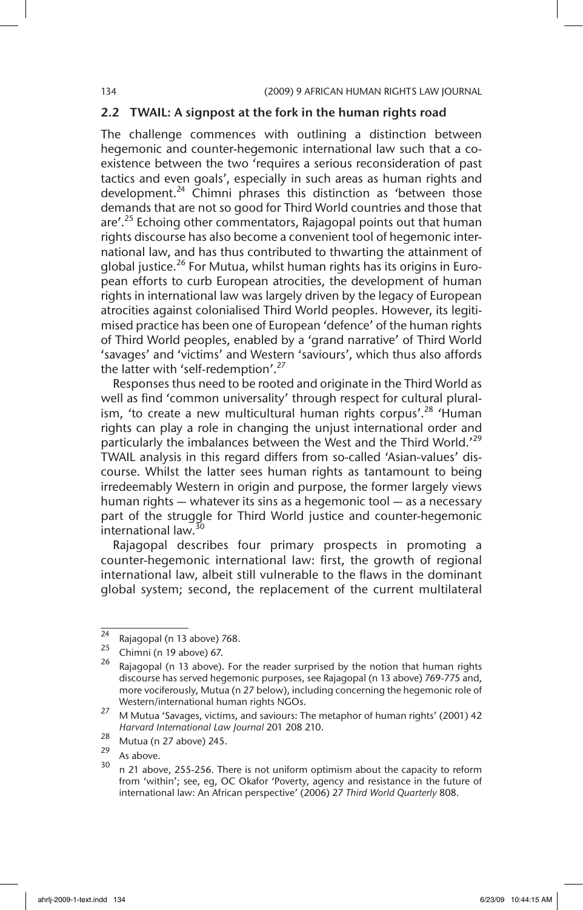### 2.2 TWAIL: A signpost at the fork in the human rights road

The challenge commences with outlining a distinction between hegemonic and counter-hegemonic international law such that a coexistence between the two 'requires a serious reconsideration of past tactics and even goals', especially in such areas as human rights and development.<sup>24</sup> Chimni phrases this distinction as 'between those demands that are not so good for Third World countries and those that are'.<sup>25</sup> Echoing other commentators, Rajagopal points out that human rights discourse has also become a convenient tool of hegemonic international law, and has thus contributed to thwarting the attainment of global justice.<sup>26</sup> For Mutua, whilst human rights has its origins in European efforts to curb European atrocities, the development of human rights in international law was largely driven by the legacy of European atrocities against colonialised Third World peoples. However, its legitimised practice has been one of European 'defence' of the human rights of Third World peoples, enabled by a 'grand narrative' of Third World 'savages' and 'victims' and Western 'saviours', which thus also affords the latter with 'self-redemption'.<sup>27</sup>

Responses thus need to be rooted and originate in the Third World as well as find 'common universality' through respect for cultural pluralism, 'to create a new multicultural human rights corpus'.<sup>28</sup> 'Human rights can play a role in changing the unjust international order and particularly the imbalances between the West and the Third World.<sup>'29</sup> TWAIL analysis in this regard differs from so-called 'Asian-values' discourse. Whilst the latter sees human rights as tantamount to being irredeemably Western in origin and purpose, the former largely views human rights — whatever its sins as a hegemonic tool — as a necessary part of the struggle for Third World justice and counter-hegemonic international law.<sup>30</sup>

Rajagopal describes four primary prospects in promoting a counter-hegemonic international law: first, the growth of regional international law, albeit still vulnerable to the flaws in the dominant global system; second, the replacement of the current multilateral

 $\frac{24}{25}$  Rajagopal (n 13 above) 768.

 $^{25}$  Chimni (n 19 above) 67.

Rajagopal (n 13 above). For the reader surprised by the notion that human rights discourse has served hegemonic purposes, see Rajagopal (n 13 above) 769-775 and, more vociferously, Mutua (n 27 below), including concerning the hegemonic role of Western/international human rights NGOs.

<sup>27</sup> M Mutua 'Savages, victims, and saviours: The metaphor of human rights' (2001) 42 *Harvard International Law Journal* 201 208 210.

 $\frac{28}{29}$  Mutua (n 27 above) 245.

 $\frac{29}{30}$  As above.

n 21 above, 255-256. There is not uniform optimism about the capacity to reform from 'within'; see, eg, OC Okafor 'Poverty, agency and resistance in the future of international law: An African perspective' (2006) 27 *Third World Quarterly* 808.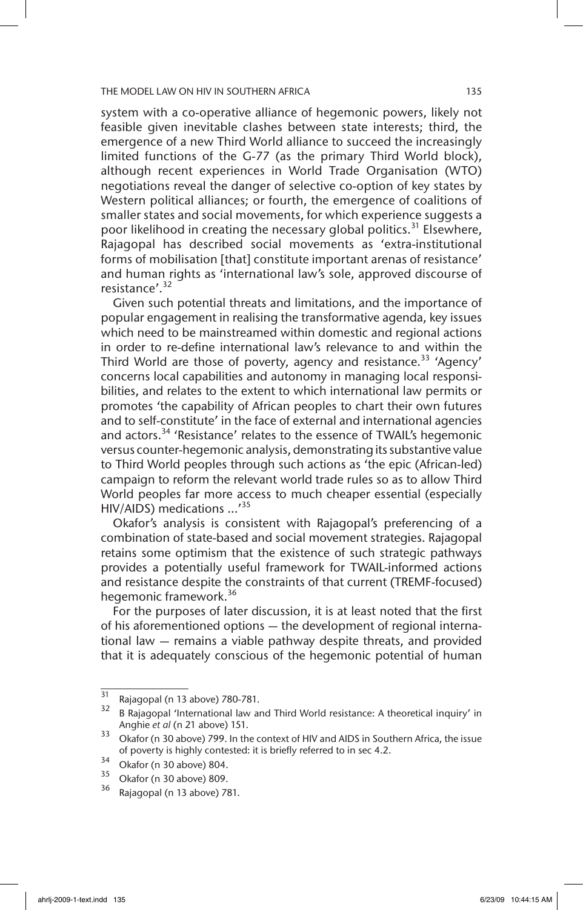system with a co-operative alliance of hegemonic powers, likely not feasible given inevitable clashes between state interests; third, the emergence of a new Third World alliance to succeed the increasingly limited functions of the G-77 (as the primary Third World block), although recent experiences in World Trade Organisation (WTO) negotiations reveal the danger of selective co-option of key states by Western political alliances; or fourth, the emergence of coalitions of smaller states and social movements, for which experience suggests a poor likelihood in creating the necessary global politics.<sup>31</sup> Elsewhere, Rajagopal has described social movements as 'extra-institutional forms of mobilisation [that] constitute important arenas of resistance' and human rights as 'international law's sole, approved discourse of resistance'.<sup>32</sup>

Given such potential threats and limitations, and the importance of popular engagement in realising the transformative agenda, key issues which need to be mainstreamed within domestic and regional actions in order to re-define international law's relevance to and within the Third World are those of poverty, agency and resistance.<sup>33</sup> 'Agency' concerns local capabilities and autonomy in managing local responsibilities, and relates to the extent to which international law permits or promotes 'the capability of African peoples to chart their own futures and to self-constitute' in the face of external and international agencies and actors.<sup>34</sup> 'Resistance' relates to the essence of TWAIL's hegemonic versus counter-hegemonic analysis, demonstrating its substantive value to Third World peoples through such actions as 'the epic (African-led) campaign to reform the relevant world trade rules so as to allow Third World peoples far more access to much cheaper essential (especially HIV/AIDS) medications ...'<sup>35</sup>

Okafor's analysis is consistent with Rajagopal's preferencing of a combination of state-based and social movement strategies. Rajagopal retains some optimism that the existence of such strategic pathways provides a potentially useful framework for TWAIL-informed actions and resistance despite the constraints of that current (TREMF-focused) hegemonic framework.<sup>36</sup>

For the purposes of later discussion, it is at least noted that the first of his aforementioned options — the development of regional international law — remains a viable pathway despite threats, and provided that it is adequately conscious of the hegemonic potential of human

 $^{31}$  Rajagopal (n 13 above) 780-781.

<sup>32</sup> B Rajagopal 'International law and Third World resistance: A theoretical inquiry' in Anghie *et al* (n 21 above) 151.

<sup>33</sup> Okafor (n 30 above) 799. In the context of HIV and AIDS in Southern Africa, the issue of poverty is highly contested: it is briefly referred to in sec 4.2.

 $34$  Okafor (n 30 above) 804.

 $\frac{35}{36}$  Okafor (n 30 above) 809.

Rajagopal (n 13 above) 781.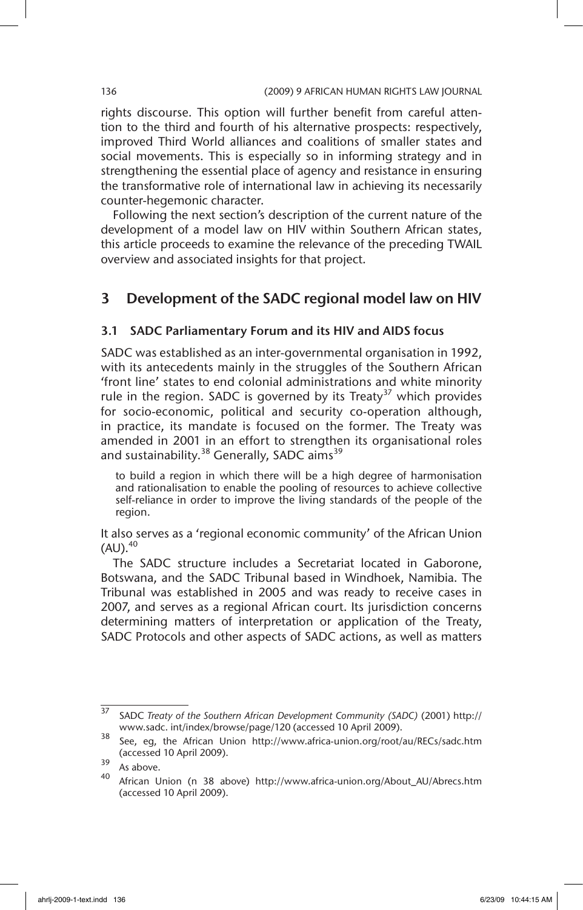rights discourse. This option will further benefit from careful attention to the third and fourth of his alternative prospects: respectively, improved Third World alliances and coalitions of smaller states and social movements. This is especially so in informing strategy and in strengthening the essential place of agency and resistance in ensuring the transformative role of international law in achieving its necessarily counter-hegemonic character.

Following the next section's description of the current nature of the development of a model law on HIV within Southern African states, this article proceeds to examine the relevance of the preceding TWAIL overview and associated insights for that project.

# 3 Development of the SADC regional model law on HIV

### 3.1 SADC Parliamentary Forum and its HIV and AIDS focus

SADC was established as an inter-governmental organisation in 1992, with its antecedents mainly in the struggles of the Southern African 'front line' states to end colonial administrations and white minority rule in the region. SADC is governed by its Treaty<sup>37</sup> which provides for socio-economic, political and security co-operation although, in practice, its mandate is focused on the former. The Treaty was amended in 2001 in an effort to strengthen its organisational roles and sustainability.<sup>38</sup> Generally, SADC aims<sup>39</sup>

to build a region in which there will be a high degree of harmonisation and rationalisation to enable the pooling of resources to achieve collective self-reliance in order to improve the living standards of the people of the region.

It also serves as a 'regional economic community' of the African Union  $(AU).<sup>40</sup>$ 

The SADC structure includes a Secretariat located in Gaborone, Botswana, and the SADC Tribunal based in Windhoek, Namibia. The Tribunal was established in 2005 and was ready to receive cases in 2007, and serves as a regional African court. Its jurisdiction concerns determining matters of interpretation or application of the Treaty, SADC Protocols and other aspects of SADC actions, as well as matters

<sup>37</sup> SADC *Treaty of the Southern African Development Community (SADC)* (2001) http:// www.sadc. int/index/browse/page/120 (accessed 10 April 2009).

<sup>38</sup> See, eg, the African Union http://www.africa-union.org/root/au/RECs/sadc.htm (accessed 10 April 2009).

 $\frac{39}{40}$  As above.

African Union (n 38 above) http://www.africa-union.org/About\_AU/Abrecs.htm (accessed 10 April 2009).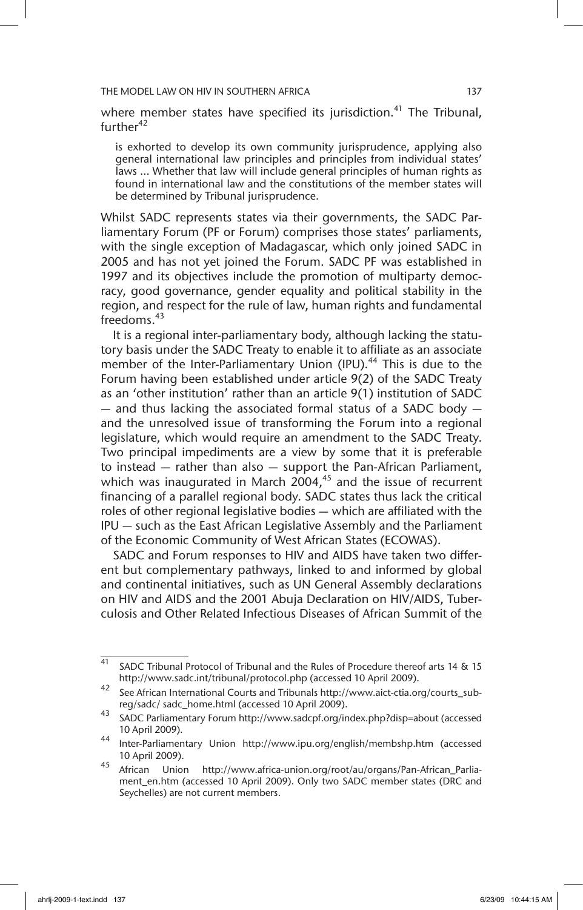where member states have specified its jurisdiction.<sup>41</sup> The Tribunal,  $further<sup>42</sup>$ 

is exhorted to develop its own community jurisprudence, applying also general international law principles and principles from individual states' laws ... Whether that law will include general principles of human rights as found in international law and the constitutions of the member states will be determined by Tribunal jurisprudence.

Whilst SADC represents states via their governments, the SADC Parliamentary Forum (PF or Forum) comprises those states' parliaments, with the single exception of Madagascar, which only joined SADC in 2005 and has not yet joined the Forum. SADC PF was established in 1997 and its objectives include the promotion of multiparty democracy, good governance, gender equality and political stability in the region, and respect for the rule of law, human rights and fundamental freedoms.<sup>43</sup>

It is a regional inter-parliamentary body, although lacking the statutory basis under the SADC Treaty to enable it to affiliate as an associate member of the Inter-Parliamentary Union (IPU). $44$  This is due to the Forum having been established under article 9(2) of the SADC Treaty as an 'other institution' rather than an article 9(1) institution of SADC — and thus lacking the associated formal status of a SADC body and the unresolved issue of transforming the Forum into a regional legislature, which would require an amendment to the SADC Treaty. Two principal impediments are a view by some that it is preferable to instead — rather than also — support the Pan-African Parliament, which was inaugurated in March  $2004<sup>45</sup>$  and the issue of recurrent financing of a parallel regional body. SADC states thus lack the critical roles of other regional legislative bodies — which are affiliated with the IPU — such as the East African Legislative Assembly and the Parliament of the Economic Community of West African States (ECOWAS).

SADC and Forum responses to HIV and AIDS have taken two different but complementary pathways, linked to and informed by global and continental initiatives, such as UN General Assembly declarations on HIV and AIDS and the 2001 Abuja Declaration on HIV/AIDS, Tuberculosis and Other Related Infectious Diseases of African Summit of the

 $\frac{41}{41}$  SADC Tribunal Protocol of Tribunal and the Rules of Procedure thereof arts 14 & 15 http://www.sadc.int/tribunal/protocol.php (accessed 10 April 2009).

<sup>42</sup> See African International Courts and Tribunals http://www.aict-ctia.org/courts\_subreg/sadc/ sadc\_home.html (accessed 10 April 2009).

<sup>43</sup> SADC Parliamentary Forum http://www.sadcpf.org/index.php?disp=about (accessed 10 April 2009).

<sup>44</sup> Inter-Parliamentary Union http://www.ipu.org/english/membshp.htm (accessed 10 April 2009).

<sup>45</sup> African Union http://www.africa-union.org/root/au/organs/Pan-African\_Parliament\_en.htm (accessed 10 April 2009). Only two SADC member states (DRC and Seychelles) are not current members.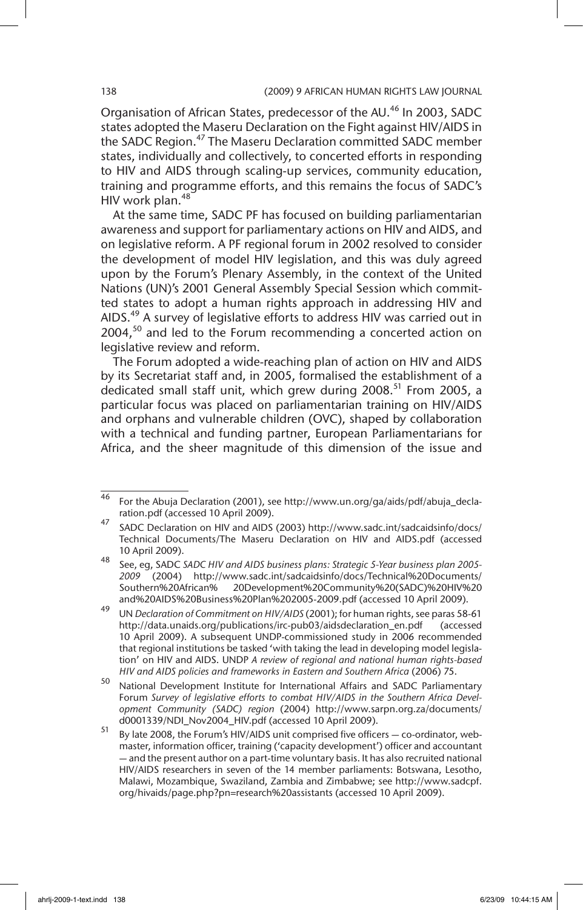Organisation of African States, predecessor of the AU.<sup>46</sup> In 2003. SADC states adopted the Maseru Declaration on the Fight against HIV/AIDS in the SADC Region.<sup>47</sup> The Maseru Declaration committed SADC member states, individually and collectively, to concerted efforts in responding to HIV and AIDS through scaling-up services, community education, training and programme efforts, and this remains the focus of SADC's HIV work plan.<sup>48</sup>

At the same time, SADC PF has focused on building parliamentarian awareness and support for parliamentary actions on HIV and AIDS, and on legislative reform. A PF regional forum in 2002 resolved to consider the development of model HIV legislation, and this was duly agreed upon by the Forum's Plenary Assembly, in the context of the United Nations (UN)'s 2001 General Assembly Special Session which committed states to adopt a human rights approach in addressing HIV and AIDS.<sup>49</sup> A survey of legislative efforts to address HIV was carried out in  $2004<sup>50</sup>$  and led to the Forum recommending a concerted action on legislative review and reform.

The Forum adopted a wide-reaching plan of action on HIV and AIDS by its Secretariat staff and, in 2005, formalised the establishment of a dedicated small staff unit, which grew during  $2008$ <sup>51</sup> From 2005, a particular focus was placed on parliamentarian training on HIV/AIDS and orphans and vulnerable children (OVC), shaped by collaboration with a technical and funding partner, European Parliamentarians for Africa, and the sheer magnitude of this dimension of the issue and

<sup>46</sup> For the Abuja Declaration (2001), see http://www.un.org/ga/aids/pdf/abuja\_declaration.pdf (accessed 10 April 2009).

<sup>47</sup> SADC Declaration on HIV and AIDS (2003) http://www.sadc.int/sadcaidsinfo/docs/ Technical Documents/The Maseru Declaration on HIV and AIDS.pdf (accessed 10 April 2009).

<sup>48</sup> See, eg, SADC *SADC HIV and AIDS business plans: Strategic 5-Year business plan 2005- 2009* (2004) http://www.sadc.int/sadcaidsinfo/docs/Technical%20Documents/ Southern%20African% 20Development%20Community%20(SADC)%20HIV%20 and%20AIDS%20Business%20Plan%202005-2009.pdf (accessed 10 April 2009).

<sup>49</sup> UN *Declaration of Commitment on HIV/AIDS* (2001); for human rights, see paras 58-61 http://data.unaids.org/publications/irc-pub03/aidsdeclaration\_en.pdf (accessed 10 April 2009). A subsequent UNDP-commissioned study in 2006 recommended that regional institutions be tasked 'with taking the lead in developing model legislation' on HIV and AIDS. UNDP *A review of regional and national human rights-based HIV and AIDS policies and frameworks in Eastern and Southern Africa* (2006) 75.

<sup>50</sup> National Development Institute for International Affairs and SADC Parliamentary Forum *Survey of legislative efforts to combat HIV/AIDS in the Southern Africa Development Community (SADC) region* (2004) http://www.sarpn.org.za/documents/ d0001339/NDI\_Nov2004\_HIV.pdf (accessed 10 April 2009).

<sup>51</sup> By late 2008, the Forum's HIV/AIDS unit comprised five officers — co-ordinator, webmaster, information officer, training ('capacity development') officer and accountant — and the present author on a part-time voluntary basis. It has also recruited national HIV/AIDS researchers in seven of the 14 member parliaments: Botswana, Lesotho, Malawi, Mozambique, Swaziland, Zambia and Zimbabwe; see http://www.sadcpf. org/hivaids/page.php?pn=research%20assistants (accessed 10 April 2009).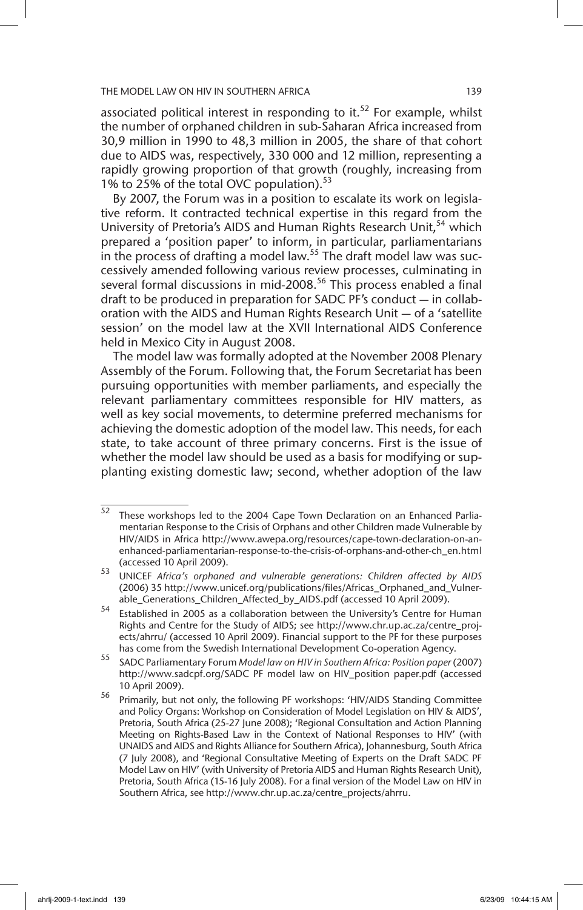associated political interest in responding to it.<sup>52</sup> For example, whilst the number of orphaned children in sub-Saharan Africa increased from 30,9 million in 1990 to 48,3 million in 2005, the share of that cohort due to AIDS was, respectively, 330 000 and 12 million, representing a rapidly growing proportion of that growth (roughly, increasing from 1% to 25% of the total OVC population).<sup>53</sup>

By 2007, the Forum was in a position to escalate its work on legislative reform. It contracted technical expertise in this regard from the University of Pretoria's AIDS and Human Rights Research Unit.<sup>54</sup> which prepared a 'position paper' to inform, in particular, parliamentarians in the process of drafting a model law.<sup>55</sup> The draft model law was successively amended following various review processes, culminating in several formal discussions in mid-2008.<sup>56</sup> This process enabled a final draft to be produced in preparation for SADC PF's conduct — in collaboration with the AIDS and Human Rights Research Unit — of a 'satellite session' on the model law at the XVII International AIDS Conference held in Mexico City in August 2008.

The model law was formally adopted at the November 2008 Plenary Assembly of the Forum. Following that, the Forum Secretariat has been pursuing opportunities with member parliaments, and especially the relevant parliamentary committees responsible for HIV matters, as well as key social movements, to determine preferred mechanisms for achieving the domestic adoption of the model law. This needs, for each state, to take account of three primary concerns. First is the issue of whether the model law should be used as a basis for modifying or supplanting existing domestic law; second, whether adoption of the law

<sup>52</sup> These workshops led to the 2004 Cape Town Declaration on an Enhanced Parliamentarian Response to the Crisis of Orphans and other Children made Vulnerable by HIV/AIDS in Africa http://www.awepa.org/resources/cape-town-declaration-on-anenhanced-parliamentarian-response-to-the-crisis-of-orphans-and-other-ch\_en.html (accessed 10 April 2009).

<sup>53</sup> UNICEF *Africa's orphaned and vulnerable generations: Children affected by AIDS* (2006) 35 http://www.unicef.org/publications/files/Africas\_Orphaned\_and\_Vulnerable\_Generations\_Children\_Affected\_by\_AIDS.pdf (accessed 10 April 2009).

<sup>54</sup> Established in 2005 as a collaboration between the University's Centre for Human Rights and Centre for the Study of AIDS; see http://www.chr.up.ac.za/centre\_projects/ahrru/ (accessed 10 April 2009). Financial support to the PF for these purposes has come from the Swedish International Development Co-operation Agency.

<sup>55</sup> SADC Parliamentary Forum *Model law on HIV in Southern Africa: Position paper* (2007) http://www.sadcpf.org/SADC PF model law on HIV\_position paper.pdf (accessed 10 April 2009).

<sup>56</sup> Primarily, but not only, the following PF workshops: 'HIV/AIDS Standing Committee and Policy Organs: Workshop on Consideration of Model Legislation on HIV & AIDS', Pretoria, South Africa (25-27 June 2008); 'Regional Consultation and Action Planning Meeting on Rights-Based Law in the Context of National Responses to HIV' (with UNAIDS and AIDS and Rights Alliance for Southern Africa), Johannesburg, South Africa (7 July 2008), and 'Regional Consultative Meeting of Experts on the Draft SADC PF Model Law on HIV' (with University of Pretoria AIDS and Human Rights Research Unit), Pretoria, South Africa (15-16 July 2008). For a final version of the Model Law on HIV in Southern Africa, see http://www.chr.up.ac.za/centre\_projects/ahrru.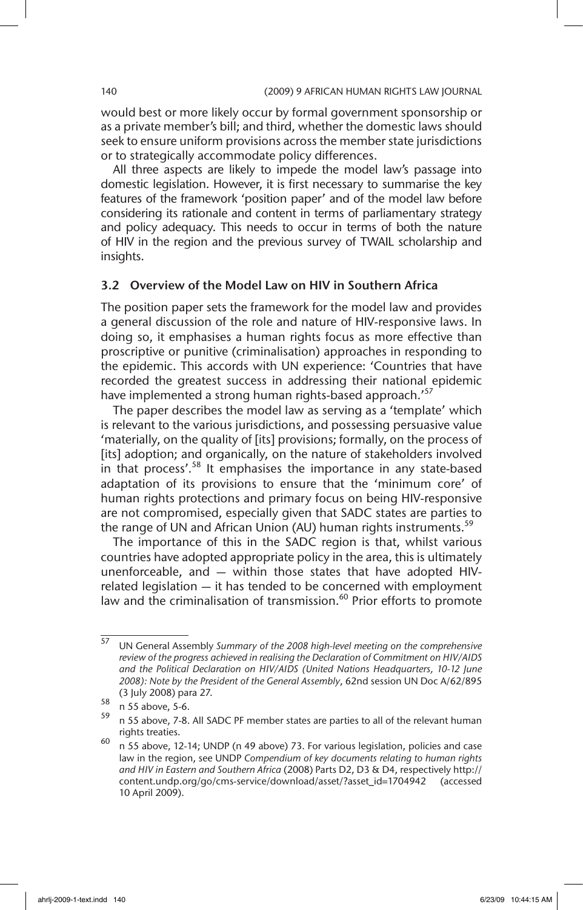would best or more likely occur by formal government sponsorship or as a private member's bill; and third, whether the domestic laws should seek to ensure uniform provisions across the member state jurisdictions or to strategically accommodate policy differences.

All three aspects are likely to impede the model law's passage into domestic legislation. However, it is first necessary to summarise the key features of the framework 'position paper' and of the model law before considering its rationale and content in terms of parliamentary strategy and policy adequacy. This needs to occur in terms of both the nature of HIV in the region and the previous survey of TWAIL scholarship and insights.

### 3.2 Overview of the Model Law on HIV in Southern Africa

The position paper sets the framework for the model law and provides a general discussion of the role and nature of HIV-responsive laws. In doing so, it emphasises a human rights focus as more effective than proscriptive or punitive (criminalisation) approaches in responding to the epidemic. This accords with UN experience: 'Countries that have recorded the greatest success in addressing their national epidemic have implemented a strong human rights-based approach.<sup>'57</sup>

The paper describes the model law as serving as a 'template' which is relevant to the various jurisdictions, and possessing persuasive value 'materially, on the quality of [its] provisions; formally, on the process of [its] adoption; and organically, on the nature of stakeholders involved in that process'. $58$  It emphasises the importance in any state-based adaptation of its provisions to ensure that the 'minimum core' of human rights protections and primary focus on being HIV-responsive are not compromised, especially given that SADC states are parties to the range of UN and African Union (AU) human rights instruments.<sup>59</sup>

The importance of this in the SADC region is that, whilst various countries have adopted appropriate policy in the area, this is ultimately unenforceable, and — within those states that have adopted HIVrelated legislation — it has tended to be concerned with employment law and the criminalisation of transmission.<sup>60</sup> Prior efforts to promote

<sup>57</sup> UN General Assembly *Summary of the 2008 high-level meeting on the comprehensive review of the progress achieved in realising the Declaration of Commitment on HIV/AIDS and the Political Declaration on HIV/AIDS (United Nations Headquarters, 10-12 June 2008): Note by the President of the General Assembly*, 62nd session UN Doc A/62/895 (3 July 2008) para 27.

 $\frac{58}{159}$  n 55 above, 5-6.

<sup>59</sup> n 55 above, 7-8. All SADC PF member states are parties to all of the relevant human rights treaties.

<sup>60</sup> n 55 above, 12-14; UNDP (n 49 above) 73. For various legislation, policies and case law in the region, see UNDP *Compendium of key documents relating to human rights and HIV in Eastern and Southern Africa* (2008) Parts D2, D3 & D4, respectively http:// content.undp.org/go/cms-service/download/asset/?asset\_id=1704942 (accessed 10 April 2009).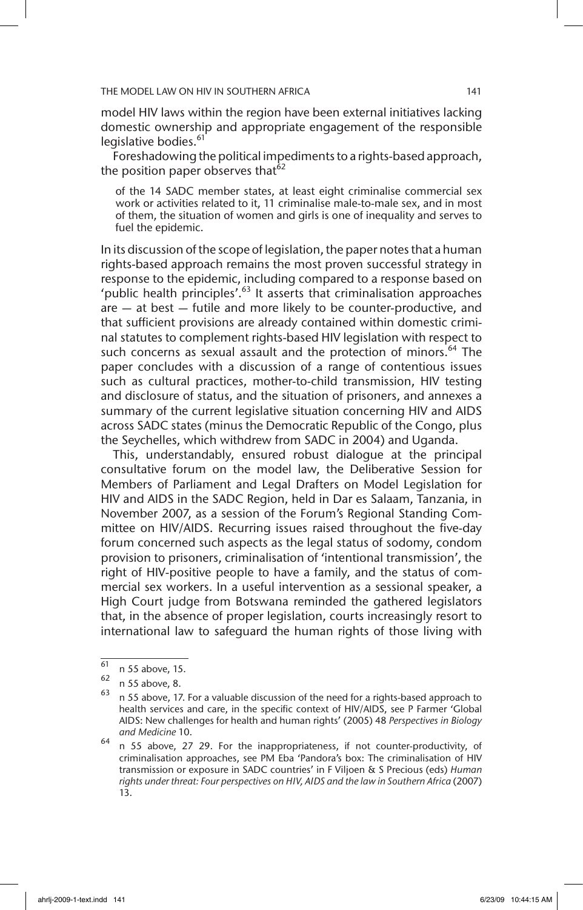model HIV laws within the region have been external initiatives lacking domestic ownership and appropriate engagement of the responsible legislative bodies.<sup>61</sup>

Foreshadowing the political impediments to a rights-based approach, the position paper observes that<sup>62</sup>

of the 14 SADC member states, at least eight criminalise commercial sex work or activities related to it, 11 criminalise male-to-male sex, and in most of them, the situation of women and girls is one of inequality and serves to fuel the epidemic.

In its discussion of the scope of legislation, the paper notes that a human rights-based approach remains the most proven successful strategy in response to the epidemic, including compared to a response based on 'public health principles'.63 It asserts that criminalisation approaches are — at best — futile and more likely to be counter-productive, and that sufficient provisions are already contained within domestic criminal statutes to complement rights-based HIV legislation with respect to such concerns as sexual assault and the protection of minors.<sup>64</sup> The paper concludes with a discussion of a range of contentious issues such as cultural practices, mother-to-child transmission, HIV testing and disclosure of status, and the situation of prisoners, and annexes a summary of the current legislative situation concerning HIV and AIDS across SADC states (minus the Democratic Republic of the Congo, plus the Seychelles, which withdrew from SADC in 2004) and Uganda.

This, understandably, ensured robust dialogue at the principal consultative forum on the model law, the Deliberative Session for Members of Parliament and Legal Drafters on Model Legislation for HIV and AIDS in the SADC Region, held in Dar es Salaam, Tanzania, in November 2007, as a session of the Forum's Regional Standing Committee on HIV/AIDS. Recurring issues raised throughout the five-day forum concerned such aspects as the legal status of sodomy, condom provision to prisoners, criminalisation of 'intentional transmission', the right of HIV-positive people to have a family, and the status of commercial sex workers. In a useful intervention as a sessional speaker, a High Court judge from Botswana reminded the gathered legislators that, in the absence of proper legislation, courts increasingly resort to international law to safeguard the human rights of those living with

 $\overline{61}$  n 55 above, 15.

 $\frac{62}{63}$  n 55 above, 8.

<sup>63</sup> n 55 above, 17. For a valuable discussion of the need for a rights-based approach to health services and care, in the specific context of HIV/AIDS, see P Farmer 'Global AIDS: New challenges for health and human rights' (2005) 48 *Perspectives in Biology and Medicine* 10.

 $64$  n 55 above, 27 29. For the inappropriateness, if not counter-productivity, of criminalisation approaches, see PM Eba 'Pandora's box: The criminalisation of HIV transmission or exposure in SADC countries' in F Viljoen & S Precious (eds) *Human rights under threat: Four perspectives on HIV, AIDS and the law in Southern Africa* (2007) 13.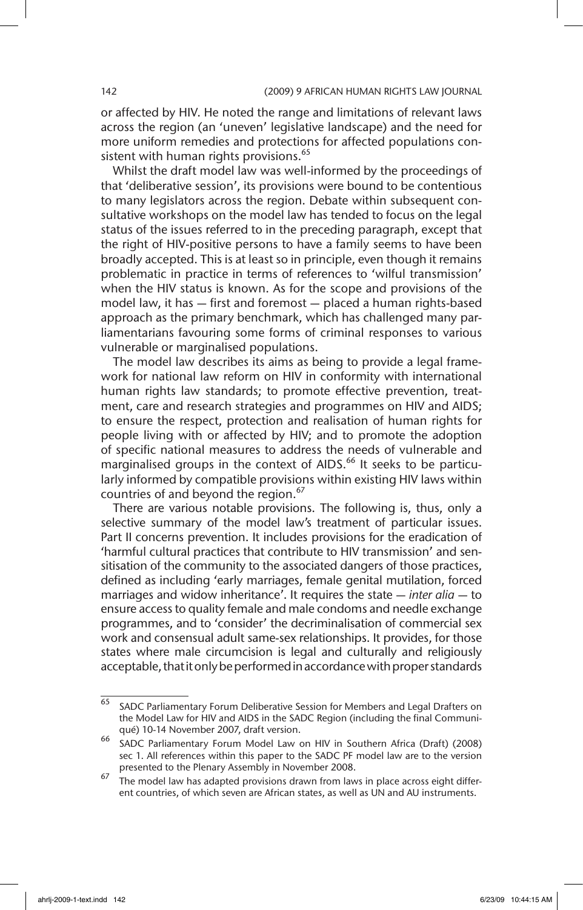or affected by HIV. He noted the range and limitations of relevant laws across the region (an 'uneven' legislative landscape) and the need for more uniform remedies and protections for affected populations consistent with human rights provisions.<sup>65</sup>

Whilst the draft model law was well-informed by the proceedings of that 'deliberative session', its provisions were bound to be contentious to many legislators across the region. Debate within subsequent consultative workshops on the model law has tended to focus on the legal status of the issues referred to in the preceding paragraph, except that the right of HIV-positive persons to have a family seems to have been broadly accepted. This is at least so in principle, even though it remains problematic in practice in terms of references to 'wilful transmission' when the HIV status is known. As for the scope and provisions of the model law, it has — first and foremost — placed a human rights-based approach as the primary benchmark, which has challenged many parliamentarians favouring some forms of criminal responses to various vulnerable or marginalised populations.

The model law describes its aims as being to provide a legal framework for national law reform on HIV in conformity with international human rights law standards; to promote effective prevention, treatment, care and research strategies and programmes on HIV and AIDS; to ensure the respect, protection and realisation of human rights for people living with or affected by HIV; and to promote the adoption of specific national measures to address the needs of vulnerable and marginalised groups in the context of AIDS.<sup>66</sup> It seeks to be particularly informed by compatible provisions within existing HIV laws within countries of and beyond the region.<sup>67</sup>

There are various notable provisions. The following is, thus, only a selective summary of the model law's treatment of particular issues. Part II concerns prevention. It includes provisions for the eradication of 'harmful cultural practices that contribute to HIV transmission' and sensitisation of the community to the associated dangers of those practices, defined as including 'early marriages, female genital mutilation, forced marriages and widow inheritance'. It requires the state — *inter alia* — to ensure access to quality female and male condoms and needle exchange programmes, and to 'consider' the decriminalisation of commercial sex work and consensual adult same-sex relationships. It provides, for those states where male circumcision is legal and culturally and religiously acceptable, that it only be performed in accordance with proper standards

 $\overline{65}$  SADC Parliamentary Forum Deliberative Session for Members and Legal Drafters on the Model Law for HIV and AIDS in the SADC Region (including the final Communiqué) 10-14 November 2007, draft version.

<sup>66</sup> SADC Parliamentary Forum Model Law on HIV in Southern Africa (Draft) (2008) sec 1. All references within this paper to the SADC PF model law are to the version presented to the Plenary Assembly in November 2008.

<sup>&</sup>lt;sup>67</sup> The model law has adapted provisions drawn from laws in place across eight different countries, of which seven are African states, as well as UN and AU instruments.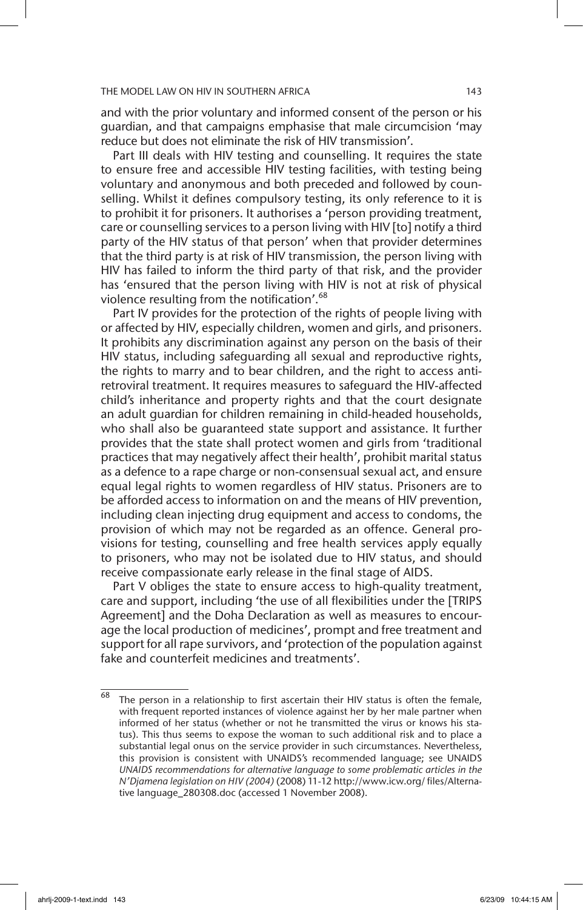and with the prior voluntary and informed consent of the person or his guardian, and that campaigns emphasise that male circumcision 'may reduce but does not eliminate the risk of HIV transmission'.

Part III deals with HIV testing and counselling. It requires the state to ensure free and accessible HIV testing facilities, with testing being voluntary and anonymous and both preceded and followed by counselling. Whilst it defines compulsory testing, its only reference to it is to prohibit it for prisoners. It authorises a 'person providing treatment, care or counselling services to a person living with HIV [to] notify a third party of the HIV status of that person' when that provider determines that the third party is at risk of HIV transmission, the person living with HIV has failed to inform the third party of that risk, and the provider has 'ensured that the person living with HIV is not at risk of physical violence resulting from the notification'.<sup>68</sup>

Part IV provides for the protection of the rights of people living with or affected by HIV, especially children, women and girls, and prisoners. It prohibits any discrimination against any person on the basis of their HIV status, including safeguarding all sexual and reproductive rights, the rights to marry and to bear children, and the right to access antiretroviral treatment. It requires measures to safeguard the HIV-affected child's inheritance and property rights and that the court designate an adult guardian for children remaining in child-headed households, who shall also be guaranteed state support and assistance. It further provides that the state shall protect women and girls from 'traditional practices that may negatively affect their health', prohibit marital status as a defence to a rape charge or non-consensual sexual act, and ensure equal legal rights to women regardless of HIV status. Prisoners are to be afforded access to information on and the means of HIV prevention, including clean injecting drug equipment and access to condoms, the provision of which may not be regarded as an offence. General provisions for testing, counselling and free health services apply equally to prisoners, who may not be isolated due to HIV status, and should receive compassionate early release in the final stage of AIDS.

Part V obliges the state to ensure access to high-quality treatment, care and support, including 'the use of all flexibilities under the [TRIPS Agreement] and the Doha Declaration as well as measures to encourage the local production of medicines', prompt and free treatment and support for all rape survivors, and 'protection of the population against fake and counterfeit medicines and treatments'.

 $68$  The person in a relationship to first ascertain their HIV status is often the female, with frequent reported instances of violence against her by her male partner when informed of her status (whether or not he transmitted the virus or knows his status). This thus seems to expose the woman to such additional risk and to place a substantial legal onus on the service provider in such circumstances. Nevertheless, this provision is consistent with UNAIDS's recommended language; see UNAIDS *UNAIDS recommendations for alternative language to some problematic articles in the N'Djamena legislation on HIV (2004)* (2008) 11-12 http://www.icw.org/ files/Alternative language\_280308.doc (accessed 1 November 2008).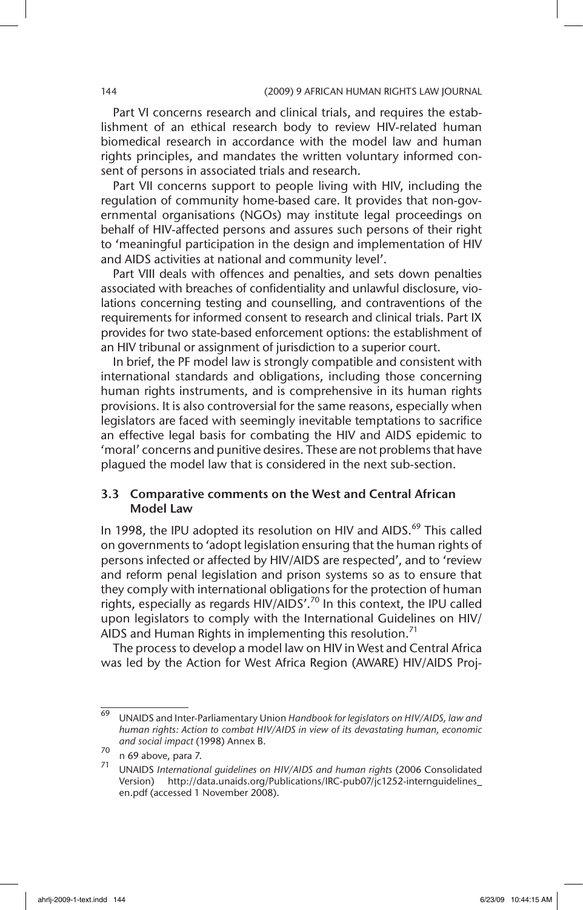Part VI concerns research and clinical trials, and requires the establishment of an ethical research body to review HIV-related human biomedical research in accordance with the model law and human rights principles, and mandates the written voluntary informed consent of persons in associated trials and research.

Part VII concerns support to people living with HIV, including the regulation of community home-based care. It provides that non-governmental organisations (NGOs) may institute legal proceedings on behalf of HIV-affected persons and assures such persons of their right to 'meaningful participation in the design and implementation of HIV and AIDS activities at national and community level'.

Part VIII deals with offences and penalties, and sets down penalties associated with breaches of confidentiality and unlawful disclosure, violations concerning testing and counselling, and contraventions of the requirements for informed consent to research and clinical trials. Part IX provides for two state-based enforcement options: the establishment of an HIV tribunal or assignment of jurisdiction to a superior court.

In brief, the PF model law is strongly compatible and consistent with international standards and obligations, including those concerning human rights instruments, and is comprehensive in its human rights provisions. It is also controversial for the same reasons, especially when legislators are faced with seemingly inevitable temptations to sacrifice an effective legal basis for combating the HIV and AIDS epidemic to 'moral' concerns and punitive desires. These are not problems that have plagued the model law that is considered in the next sub-section.

### 3.3 Comparative comments on the West and Central African Model Law

In 1998, the IPU adopted its resolution on HIV and AIDS.<sup>69</sup> This called on governments to 'adopt legislation ensuring that the human rights of persons infected or affected by HIV/AIDS are respected', and to 'review and reform penal legislation and prison systems so as to ensure that they comply with international obligations for the protection of human rights, especially as regards HIV/AIDS'.70 In this context, the IPU called upon legislators to comply with the International Guidelines on HIV/ AIDS and Human Rights in implementing this resolution.<sup>71</sup>

The process to develop a model law on HIV in West and Central Africa was led by the Action for West Africa Region (AWARE) HIV/AIDS Proj-

<sup>69</sup> UNAIDS and Inter-Parliamentary Union *Handbook for legislators on HIV/AIDS, law and human rights: Action to combat HIV/AIDS in view of its devastating human, economic and social impact* (1998) Annex B.

 $^{70}$  n 69 above, para 7.

<sup>71</sup> UNAIDS *International guidelines on HIV/AIDS and human rights* (2006 Consolidated Version) http://data.unaids.org/Publications/IRC-pub07/jc1252-internguidelines\_ en.pdf (accessed 1 November 2008).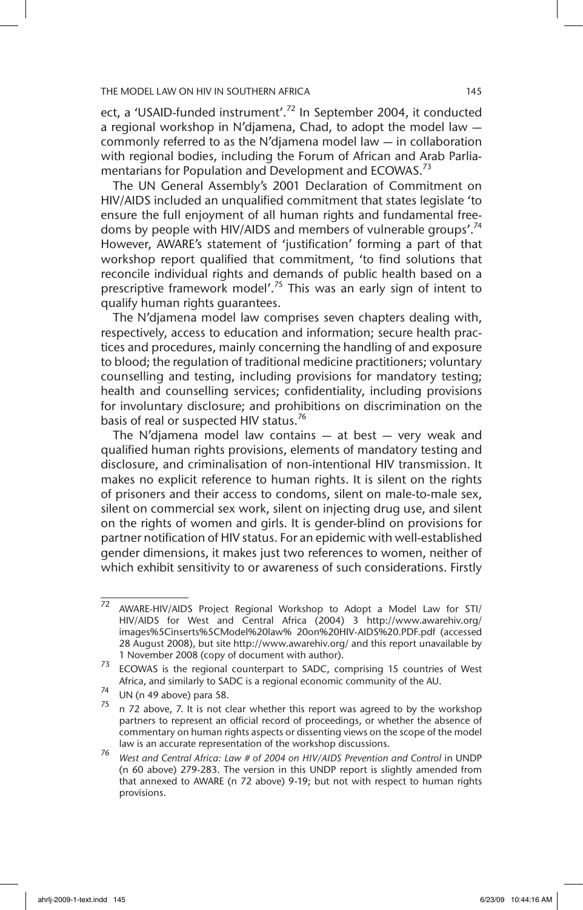ect, a 'USAID-funded instrument'.<sup>72</sup> In September 2004, it conducted a regional workshop in N'djamena, Chad, to adopt the model law commonly referred to as the N'djamena model law — in collaboration with regional bodies, including the Forum of African and Arab Parliamentarians for Population and Development and ECOWAS.<sup>73</sup>

The UN General Assembly's 2001 Declaration of Commitment on HIV/AIDS included an unqualified commitment that states legislate 'to ensure the full enjoyment of all human rights and fundamental freedoms by people with HIV/AIDS and members of vulnerable groups'.<sup>74</sup> However, AWARE's statement of 'justification' forming a part of that workshop report qualified that commitment, 'to find solutions that reconcile individual rights and demands of public health based on a prescriptive framework model'.75 This was an early sign of intent to qualify human rights guarantees.

The N'djamena model law comprises seven chapters dealing with, respectively, access to education and information; secure health practices and procedures, mainly concerning the handling of and exposure to blood; the regulation of traditional medicine practitioners; voluntary counselling and testing, including provisions for mandatory testing; health and counselling services; confidentiality, including provisions for involuntary disclosure; and prohibitions on discrimination on the basis of real or suspected HIV status.<sup>76</sup>

The N'djamena model law contains  $-$  at best  $-$  very weak and qualified human rights provisions, elements of mandatory testing and disclosure, and criminalisation of non-intentional HIV transmission. It makes no explicit reference to human rights. It is silent on the rights of prisoners and their access to condoms, silent on male-to-male sex, silent on commercial sex work, silent on injecting drug use, and silent on the rights of women and girls. It is gender-blind on provisions for partner notification of HIV status. For an epidemic with well-established gender dimensions, it makes just two references to women, neither of which exhibit sensitivity to or awareness of such considerations. Firstly

 $\overline{72}$  AWARE-HIV/AIDS Project Regional Workshop to Adopt a Model Law for STI/ HIV/AIDS for West and Central Africa (2004) 3 http://www.awarehiv.org/ images%5Cinserts%5CModel%20law% 20on%20HIV-AIDS%20.PDF.pdf (accessed 28 August 2008), but site http://www.awarehiv.org/ and this report unavailable by 1 November 2008 (copy of document with author).

<sup>73</sup> ECOWAS is the regional counterpart to SADC, comprising 15 countries of West Africa, and similarly to SADC is a regional economic community of the AU.

 $^{74}$  UN (n 49 above) para 58.<br> $^{75}$  -  $^{72}$  above 7 It is not c

n 72 above, 7. It is not clear whether this report was agreed to by the workshop partners to represent an official record of proceedings, or whether the absence of commentary on human rights aspects or dissenting views on the scope of the model law is an accurate representation of the workshop discussions.

<sup>76</sup> *West and Central Africa: Law # of 2004 on HIV/AIDS Prevention and Control* in UNDP (n 60 above) 279-283. The version in this UNDP report is slightly amended from that annexed to AWARE (n 72 above) 9-19; but not with respect to human rights provisions.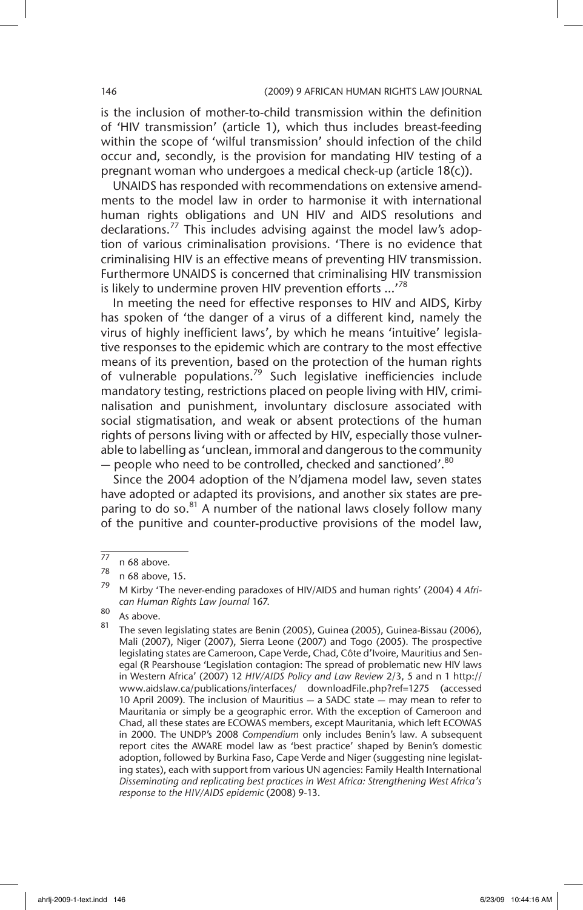is the inclusion of mother-to-child transmission within the definition of 'HIV transmission' (article 1), which thus includes breast-feeding within the scope of 'wilful transmission' should infection of the child occur and, secondly, is the provision for mandating HIV testing of a pregnant woman who undergoes a medical check-up (article 18(c)).

UNAIDS has responded with recommendations on extensive amendments to the model law in order to harmonise it with international human rights obligations and UN HIV and AIDS resolutions and declarations.<sup>77</sup> This includes advising against the model law's adoption of various criminalisation provisions. 'There is no evidence that criminalising HIV is an effective means of preventing HIV transmission. Furthermore UNAIDS is concerned that criminalising HIV transmission is likely to undermine proven HIV prevention efforts ...<sup>78</sup>

In meeting the need for effective responses to HIV and AIDS, Kirby has spoken of 'the danger of a virus of a different kind, namely the virus of highly inefficient laws', by which he means 'intuitive' legislative responses to the epidemic which are contrary to the most effective means of its prevention, based on the protection of the human rights of vulnerable populations.<sup>79</sup> Such legislative inefficiencies include mandatory testing, restrictions placed on people living with HIV, criminalisation and punishment, involuntary disclosure associated with social stigmatisation, and weak or absent protections of the human rights of persons living with or affected by HIV, especially those vulnerable to labelling as 'unclean, immoral and dangerous to the community  $-$  people who need to be controlled, checked and sanctioned'.<sup>80</sup>

Since the 2004 adoption of the N'djamena model law, seven states have adopted or adapted its provisions, and another six states are preparing to do so.<sup>81</sup> A number of the national laws closely follow many of the punitive and counter-productive provisions of the model law,

 $\frac{77}{78}$  n 68 above.

 $\frac{78}{79}$  n 68 above, 15.

<sup>79</sup> M Kirby 'The never-ending paradoxes of HIV/AIDS and human rights' (2004) 4 *African Human Rights Law Journal* 167.

 $\begin{bmatrix} 80 \\ 81 \end{bmatrix}$  As above.

The seven legislating states are Benin (2005), Guinea (2005), Guinea-Bissau (2006), Mali (2007), Niger (2007), Sierra Leone (2007) and Togo (2005). The prospective legislating states are Cameroon, Cape Verde, Chad, Côte d'Ivoire, Mauritius and Senegal (R Pearshouse 'Legislation contagion: The spread of problematic new HIV laws in Western Africa' (2007) 12 *HIV/AIDS Policy and Law Review* 2/3, 5 and n 1 http:// www.aidslaw.ca/publications/interfaces/ downloadFile.php?ref=1275 (accessed 10 April 2009). The inclusion of Mauritius — a SADC state — may mean to refer to Mauritania or simply be a geographic error. With the exception of Cameroon and Chad, all these states are ECOWAS members, except Mauritania, which left ECOWAS in 2000. The UNDP's 2008 *Compendium* only includes Benin's law. A subsequent report cites the AWARE model law as 'best practice' shaped by Benin's domestic adoption, followed by Burkina Faso, Cape Verde and Niger (suggesting nine legislating states), each with support from various UN agencies: Family Health International *Disseminating and replicating best practices in West Africa: Strengthening West Africa's response to the HIV/AIDS epidemic* (2008) 9-13.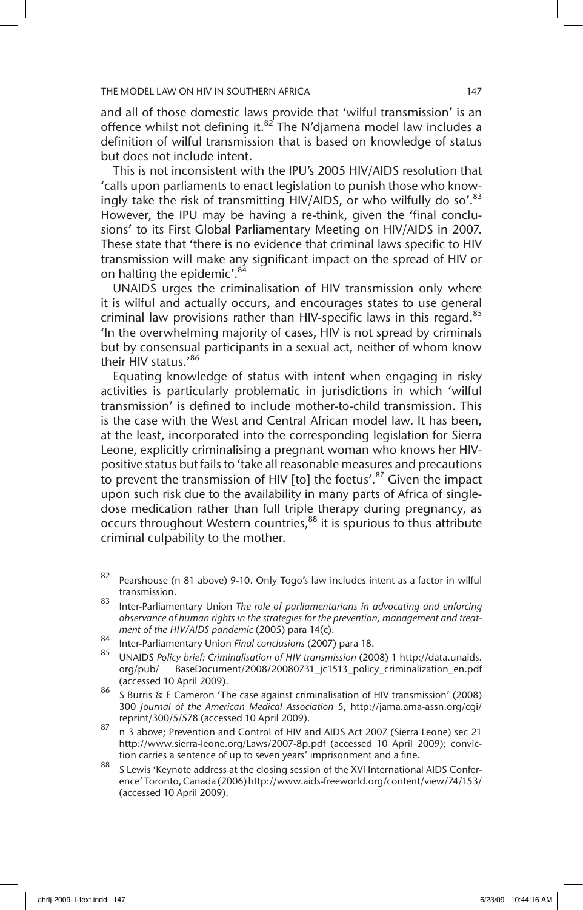and all of those domestic laws provide that 'wilful transmission' is an offence whilst not defining it. $82$  The N'djamena model law includes a definition of wilful transmission that is based on knowledge of status but does not include intent.

This is not inconsistent with the IPU's 2005 HIV/AIDS resolution that 'calls upon parliaments to enact legislation to punish those who knowingly take the risk of transmitting HIV/AIDS, or who wilfully do so'. $83$ However, the IPU may be having a re-think, given the 'final conclusions' to its First Global Parliamentary Meeting on HIV/AIDS in 2007. These state that 'there is no evidence that criminal laws specific to HIV transmission will make any significant impact on the spread of HIV or on halting the epidemic'.<sup>84</sup>

UNAIDS urges the criminalisation of HIV transmission only where it is wilful and actually occurs, and encourages states to use general criminal law provisions rather than HIV-specific laws in this regard.<sup>85</sup> 'In the overwhelming majority of cases, HIV is not spread by criminals but by consensual participants in a sexual act, neither of whom know their HIV status.'86

Equating knowledge of status with intent when engaging in risky activities is particularly problematic in jurisdictions in which 'wilful transmission' is defined to include mother-to-child transmission. This is the case with the West and Central African model law. It has been, at the least, incorporated into the corresponding legislation for Sierra Leone, explicitly criminalising a pregnant woman who knows her HIVpositive status but fails to 'take all reasonable measures and precautions to prevent the transmission of HIV [to] the foetus'.<sup>87</sup> Given the impact upon such risk due to the availability in many parts of Africa of singledose medication rather than full triple therapy during pregnancy, as occurs throughout Western countries,<sup>88</sup> it is spurious to thus attribute criminal culpability to the mother.

<sup>82</sup> Pearshouse (n 81 above) 9-10. Only Togo's law includes intent as a factor in wilful transmission.

<sup>83</sup> Inter-Parliamentary Union *The role of parliamentarians in advocating and enforcing observance of human rights in the strategies for the prevention, management and treatment of the HIV/AIDS pandemic* (2005) para 14(c).

<sup>84</sup> Inter-Parliamentary Union *Final conclusions* (2007) para 18.

<sup>85</sup> UNAIDS *Policy brief: Criminalisation of HIV transmission* (2008) 1 http://data.unaids. org/pub/ BaseDocument/2008/20080731\_jc1513\_policy\_criminalization\_en.pdf (accessed 10 April 2009).

<sup>86</sup> S Burris & E Cameron 'The case against criminalisation of HIV transmission' (2008) 300 *Journal of the American Medical Association* 5, http://jama.ama-assn.org/cgi/ reprint/300/5/578 (accessed 10 April 2009).

<sup>87</sup> n 3 above; Prevention and Control of HIV and AIDS Act 2007 (Sierra Leone) sec 21 http://www.sierra-leone.org/Laws/2007-8p.pdf (accessed 10 April 2009); conviction carries a sentence of up to seven years' imprisonment and a fine.

<sup>88</sup> S Lewis 'Keynote address at the closing session of the XVI International AIDS Conference' Toronto, Canada (2006) http://www.aids-freeworld.org/content/view/74/153/ (accessed 10 April 2009).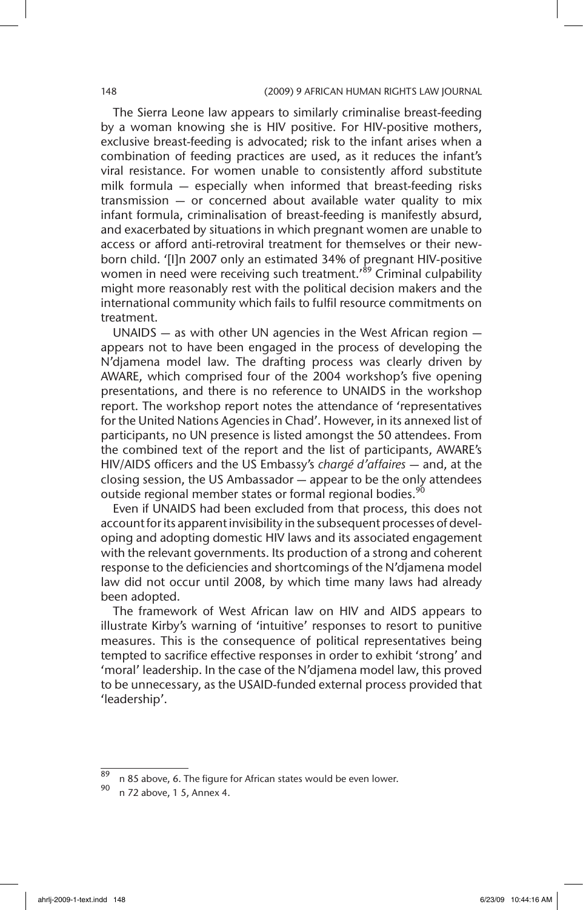The Sierra Leone law appears to similarly criminalise breast-feeding by a woman knowing she is HIV positive. For HIV-positive mothers, exclusive breast-feeding is advocated; risk to the infant arises when a combination of feeding practices are used, as it reduces the infant's viral resistance. For women unable to consistently afford substitute milk formula — especially when informed that breast-feeding risks transmission — or concerned about available water quality to mix infant formula, criminalisation of breast-feeding is manifestly absurd, and exacerbated by situations in which pregnant women are unable to access or afford anti-retroviral treatment for themselves or their newborn child. '[I]n 2007 only an estimated 34% of pregnant HIV-positive women in need were receiving such treatment.<sup>89</sup> Criminal culpability might more reasonably rest with the political decision makers and the international community which fails to fulfil resource commitments on treatment.

UNAIDS — as with other UN agencies in the West African region appears not to have been engaged in the process of developing the N'djamena model law. The drafting process was clearly driven by AWARE, which comprised four of the 2004 workshop's five opening presentations, and there is no reference to UNAIDS in the workshop report. The workshop report notes the attendance of 'representatives for the United Nations Agencies in Chad'. However, in its annexed list of participants, no UN presence is listed amongst the 50 attendees. From the combined text of the report and the list of participants, AWARE's HIV/AIDS officers and the US Embassy's *chargé d'affaires* — and, at the closing session, the US Ambassador — appear to be the only attendees outside regional member states or formal regional bodies.<sup>90</sup>

Even if UNAIDS had been excluded from that process, this does not account for its apparent invisibility in the subsequent processes of developing and adopting domestic HIV laws and its associated engagement with the relevant governments. Its production of a strong and coherent response to the deficiencies and shortcomings of the N'djamena model law did not occur until 2008, by which time many laws had already been adopted.

The framework of West African law on HIV and AIDS appears to illustrate Kirby's warning of 'intuitive' responses to resort to punitive measures. This is the consequence of political representatives being tempted to sacrifice effective responses in order to exhibit 'strong' and 'moral' leadership. In the case of the N'djamena model law, this proved to be unnecessary, as the USAID-funded external process provided that 'leadership'.

n 85 above, 6. The figure for African states would be even lower.

<sup>90</sup> n 72 above, 1 5, Annex 4.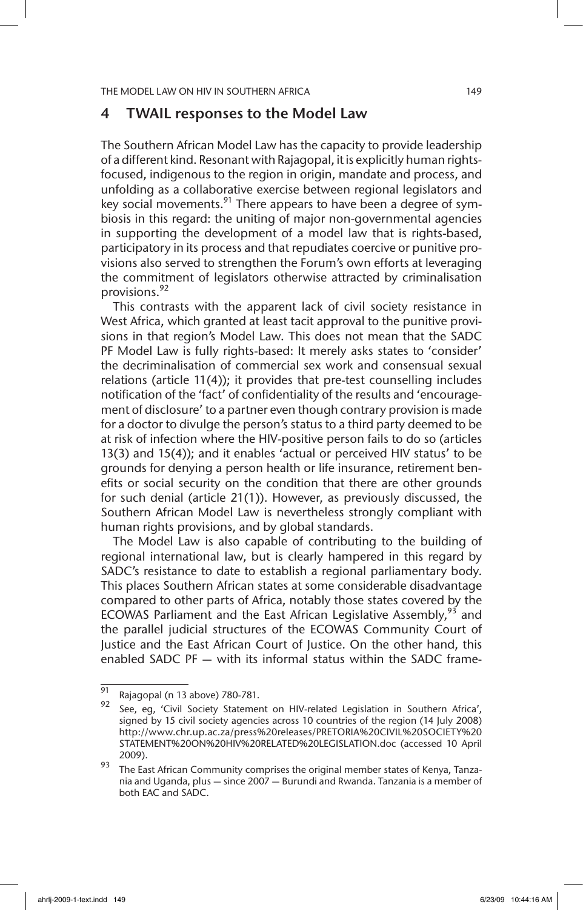### 4 TWAIL responses to the Model Law

The Southern African Model Law has the capacity to provide leadership of a different kind. Resonant with Rajagopal, it is explicitly human rightsfocused, indigenous to the region in origin, mandate and process, and unfolding as a collaborative exercise between regional legislators and key social movements.<sup>91</sup> There appears to have been a degree of symbiosis in this regard: the uniting of major non-governmental agencies in supporting the development of a model law that is rights-based, participatory in its process and that repudiates coercive or punitive provisions also served to strengthen the Forum's own efforts at leveraging the commitment of legislators otherwise attracted by criminalisation provisions.<sup>92</sup>

This contrasts with the apparent lack of civil society resistance in West Africa, which granted at least tacit approval to the punitive provisions in that region's Model Law. This does not mean that the SADC PF Model Law is fully rights-based: It merely asks states to 'consider' the decriminalisation of commercial sex work and consensual sexual relations (article 11(4)); it provides that pre-test counselling includes notification of the 'fact' of confidentiality of the results and 'encouragement of disclosure' to a partner even though contrary provision is made for a doctor to divulge the person's status to a third party deemed to be at risk of infection where the HIV-positive person fails to do so (articles 13(3) and 15(4)); and it enables 'actual or perceived HIV status' to be grounds for denying a person health or life insurance, retirement benefits or social security on the condition that there are other grounds for such denial (article 21(1)). However, as previously discussed, the Southern African Model Law is nevertheless strongly compliant with human rights provisions, and by global standards.

The Model Law is also capable of contributing to the building of regional international law, but is clearly hampered in this regard by SADC's resistance to date to establish a regional parliamentary body. This places Southern African states at some considerable disadvantage compared to other parts of Africa, notably those states covered by the ECOWAS Parliament and the East African Legislative Assembly,  $93$  and the parallel judicial structures of the ECOWAS Community Court of Justice and the East African Court of Justice. On the other hand, this enabled SADC PF — with its informal status within the SADC frame-

 $\overline{91}$  Rajagopal (n 13 above) 780-781.

See, eg, 'Civil Society Statement on HIV-related Legislation in Southern Africa', signed by 15 civil society agencies across 10 countries of the region (14 July 2008) http://www.chr.up.ac.za/press%20releases/PRETORIA%20CIVIL%20SOCIETY%20 STATEMENT%20ON%20HIV%20RELATED%20LEGISLATION.doc (accessed 10 April 2009).

 $\frac{93}{2}$  The East African Community comprises the original member states of Kenya, Tanzania and Uganda, plus — since 2007 — Burundi and Rwanda. Tanzania is a member of both EAC and SADC.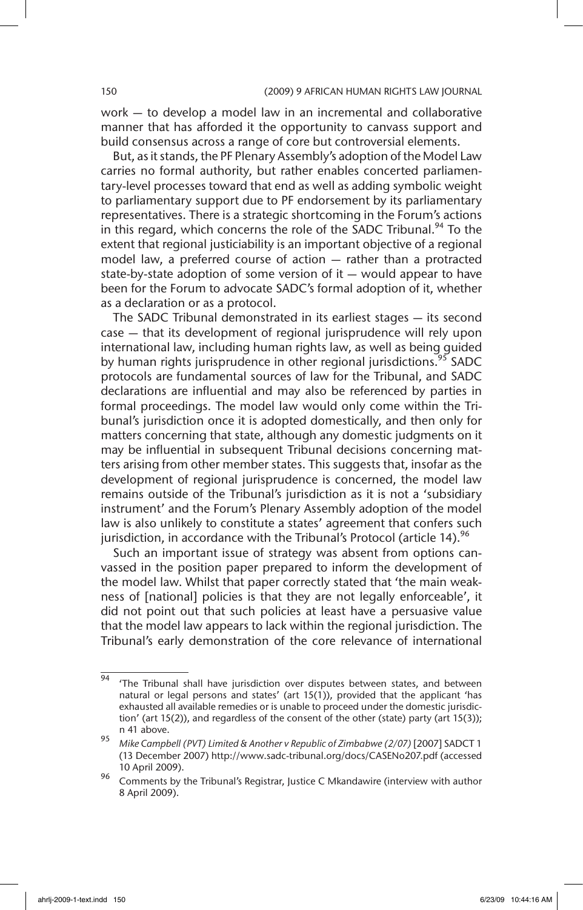work — to develop a model law in an incremental and collaborative manner that has afforded it the opportunity to canvass support and build consensus across a range of core but controversial elements.

But, as it stands, the PF Plenary Assembly's adoption of the Model Law carries no formal authority, but rather enables concerted parliamentary-level processes toward that end as well as adding symbolic weight to parliamentary support due to PF endorsement by its parliamentary representatives. There is a strategic shortcoming in the Forum's actions in this regard, which concerns the role of the SADC Tribunal.<sup>94</sup> To the extent that regional justiciability is an important objective of a regional model law, a preferred course of action — rather than a protracted state-by-state adoption of some version of it — would appear to have been for the Forum to advocate SADC's formal adoption of it, whether as a declaration or as a protocol.

The SADC Tribunal demonstrated in its earliest stages — its second case — that its development of regional jurisprudence will rely upon international law, including human rights law, as well as being guided by human rights jurisprudence in other regional jurisdictions.<sup>95</sup> SADC protocols are fundamental sources of law for the Tribunal, and SADC declarations are influential and may also be referenced by parties in formal proceedings. The model law would only come within the Tribunal's jurisdiction once it is adopted domestically, and then only for matters concerning that state, although any domestic judgments on it may be influential in subsequent Tribunal decisions concerning matters arising from other member states. This suggests that, insofar as the development of regional jurisprudence is concerned, the model law remains outside of the Tribunal's jurisdiction as it is not a 'subsidiary instrument' and the Forum's Plenary Assembly adoption of the model law is also unlikely to constitute a states' agreement that confers such jurisdiction, in accordance with the Tribunal's Protocol (article 14).<sup>96</sup>

Such an important issue of strategy was absent from options canvassed in the position paper prepared to inform the development of the model law. Whilst that paper correctly stated that 'the main weakness of [national] policies is that they are not legally enforceable', it did not point out that such policies at least have a persuasive value that the model law appears to lack within the regional jurisdiction. The Tribunal's early demonstration of the core relevance of international

 $\frac{94}{94}$  'The Tribunal shall have jurisdiction over disputes between states, and between natural or legal persons and states' (art 15(1)), provided that the applicant 'has exhausted all available remedies or is unable to proceed under the domestic jurisdiction' (art 15(2)), and regardless of the consent of the other (state) party (art 15(3)); n 41 above.

<sup>95</sup> *Mike Campbell (PVT) Limited & Another v Republic of Zimbabwe (2/07)* [2007] SADCT 1 (13 December 2007) http://www.sadc-tribunal.org/docs/CASENo207.pdf (accessed 10 April 2009).

<sup>96</sup> Comments by the Tribunal's Registrar, Justice C Mkandawire (interview with author 8 April 2009).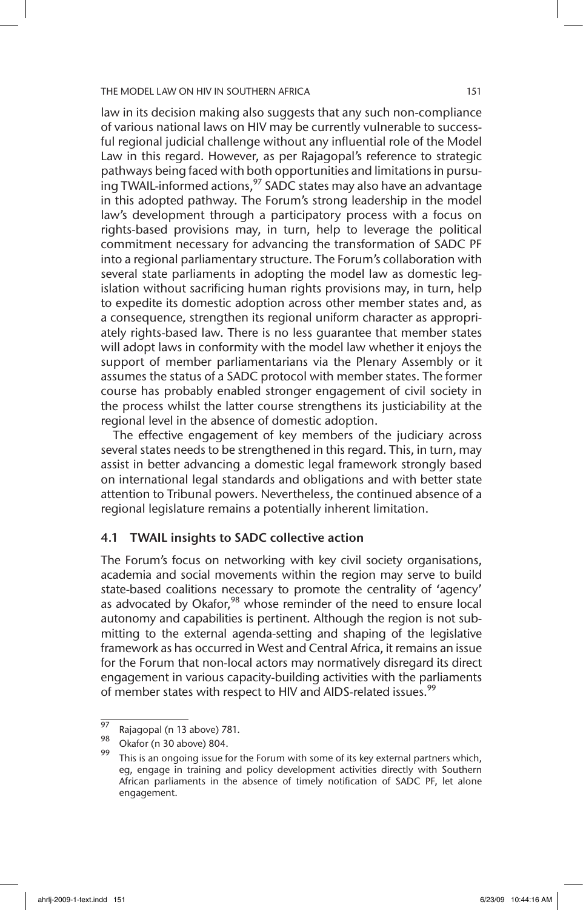law in its decision making also suggests that any such non-compliance of various national laws on HIV may be currently vulnerable to successful regional judicial challenge without any influential role of the Model Law in this regard. However, as per Rajagopal's reference to strategic pathways being faced with both opportunities and limitations in pursuing TWAIL-informed actions,<sup>97</sup> SADC states may also have an advantage in this adopted pathway. The Forum's strong leadership in the model law's development through a participatory process with a focus on rights-based provisions may, in turn, help to leverage the political commitment necessary for advancing the transformation of SADC PF into a regional parliamentary structure. The Forum's collaboration with several state parliaments in adopting the model law as domestic legislation without sacrificing human rights provisions may, in turn, help to expedite its domestic adoption across other member states and, as a consequence, strengthen its regional uniform character as appropriately rights-based law. There is no less guarantee that member states will adopt laws in conformity with the model law whether it enjoys the support of member parliamentarians via the Plenary Assembly or it assumes the status of a SADC protocol with member states. The former course has probably enabled stronger engagement of civil society in the process whilst the latter course strengthens its justiciability at the regional level in the absence of domestic adoption.

The effective engagement of key members of the judiciary across several states needs to be strengthened in this regard. This, in turn, may assist in better advancing a domestic legal framework strongly based on international legal standards and obligations and with better state attention to Tribunal powers. Nevertheless, the continued absence of a regional legislature remains a potentially inherent limitation.

### 4.1 TWAIL insights to SADC collective action

The Forum's focus on networking with key civil society organisations, academia and social movements within the region may serve to build state-based coalitions necessary to promote the centrality of 'agency' as advocated by Okafor,<sup>98</sup> whose reminder of the need to ensure local autonomy and capabilities is pertinent. Although the region is not submitting to the external agenda-setting and shaping of the legislative framework as has occurred in West and Central Africa, it remains an issue for the Forum that non-local actors may normatively disregard its direct engagement in various capacity-building activities with the parliaments of member states with respect to HIV and AIDS-related issues.<sup>99</sup>

 $\frac{97}{98}$  Rajagopal (n 13 above) 781.

Okafor (n 30 above) 804.

 $99$  This is an ongoing issue for the Forum with some of its key external partners which, eg, engage in training and policy development activities directly with Southern African parliaments in the absence of timely notification of SADC PF, let alone engagement.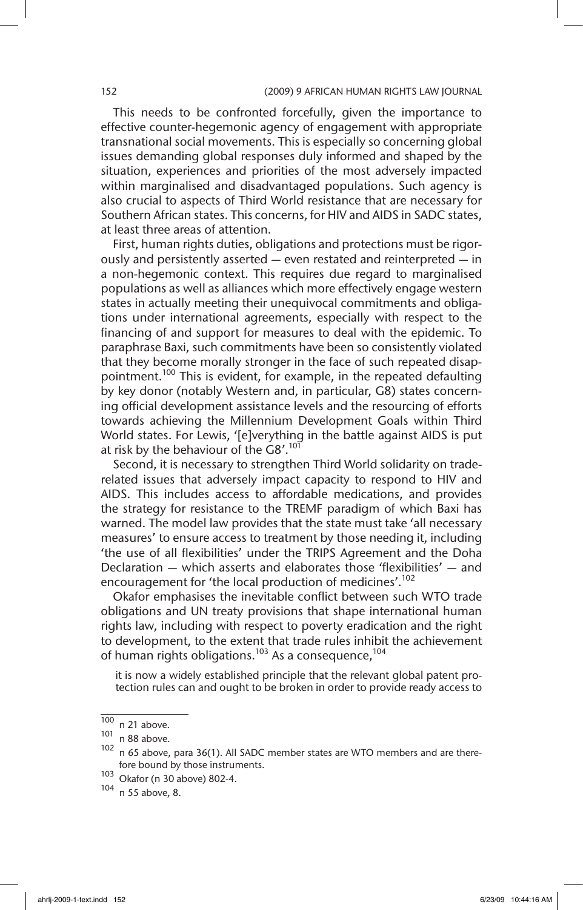This needs to be confronted forcefully, given the importance to effective counter-hegemonic agency of engagement with appropriate transnational social movements. This is especially so concerning global issues demanding global responses duly informed and shaped by the situation, experiences and priorities of the most adversely impacted within marginalised and disadvantaged populations. Such agency is also crucial to aspects of Third World resistance that are necessary for Southern African states. This concerns, for HIV and AIDS in SADC states, at least three areas of attention.

First, human rights duties, obligations and protections must be rigorously and persistently asserted — even restated and reinterpreted — in a non-hegemonic context. This requires due regard to marginalised populations as well as alliances which more effectively engage western states in actually meeting their unequivocal commitments and obligations under international agreements, especially with respect to the financing of and support for measures to deal with the epidemic. To paraphrase Baxi, such commitments have been so consistently violated that they become morally stronger in the face of such repeated disappointment.<sup>100</sup> This is evident, for example, in the repeated defaulting by key donor (notably Western and, in particular, G8) states concerning official development assistance levels and the resourcing of efforts towards achieving the Millennium Development Goals within Third World states. For Lewis, '[e]verything in the battle against AIDS is put at risk by the behaviour of the  $G8'.^{101}$ 

Second, it is necessary to strengthen Third World solidarity on traderelated issues that adversely impact capacity to respond to HIV and AIDS. This includes access to affordable medications, and provides the strategy for resistance to the TREMF paradigm of which Baxi has warned. The model law provides that the state must take 'all necessary measures' to ensure access to treatment by those needing it, including 'the use of all flexibilities' under the TRIPS Agreement and the Doha Declaration — which asserts and elaborates those 'flexibilities' — and encouragement for 'the local production of medicines'.<sup>102</sup>

Okafor emphasises the inevitable conflict between such WTO trade obligations and UN treaty provisions that shape international human rights law, including with respect to poverty eradication and the right to development, to the extent that trade rules inhibit the achievement of human rights obligations.<sup>103</sup> As a consequence,<sup>104</sup>

it is now a widely established principle that the relevant global patent protection rules can and ought to be broken in order to provide ready access to

 $\frac{100}{101}$  n 21 above.

n 88 above.

 $102$  n 65 above, para 36(1). All SADC member states are WTO members and are therefore bound by those instruments.

<sup>103</sup> Okafor (n 30 above) 802-4.<br> $104 - 55$  above 8

n 55 above, 8.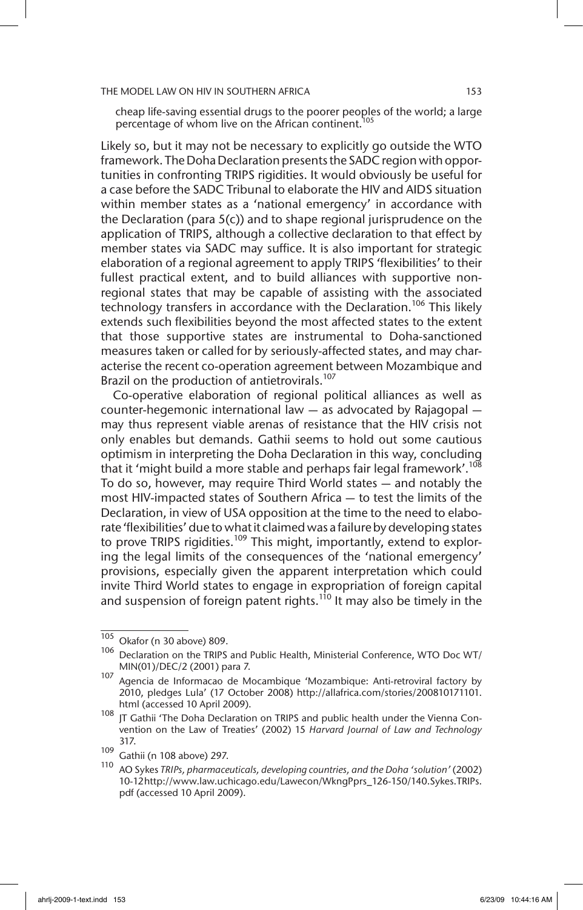cheap life-saving essential drugs to the poorer peoples of the world; a large percentage of whom live on the African continent.<sup>105</sup>

Likely so, but it may not be necessary to explicitly go outside the WTO framework. The Doha Declaration presents the SADC region with opportunities in confronting TRIPS rigidities. It would obviously be useful for a case before the SADC Tribunal to elaborate the HIV and AIDS situation within member states as a 'national emergency' in accordance with the Declaration (para 5(c)) and to shape regional jurisprudence on the application of TRIPS, although a collective declaration to that effect by member states via SADC may suffice. It is also important for strategic elaboration of a regional agreement to apply TRIPS 'flexibilities' to their fullest practical extent, and to build alliances with supportive nonregional states that may be capable of assisting with the associated technology transfers in accordance with the Declaration.<sup>106</sup> This likelv extends such flexibilities beyond the most affected states to the extent that those supportive states are instrumental to Doha-sanctioned measures taken or called for by seriously-affected states, and may characterise the recent co-operation agreement between Mozambique and Brazil on the production of antietrovirals.<sup>107</sup>

Co-operative elaboration of regional political alliances as well as counter-hegemonic international law — as advocated by Rajagopal may thus represent viable arenas of resistance that the HIV crisis not only enables but demands. Gathii seems to hold out some cautious optimism in interpreting the Doha Declaration in this way, concluding that it 'might build a more stable and perhaps fair legal framework'.<sup>108</sup> To do so, however, may require Third World states — and notably the most HIV-impacted states of Southern Africa — to test the limits of the Declaration, in view of USA opposition at the time to the need to elaborate 'flexibilities' due to what it claimed was a failure by developing states to prove TRIPS rigidities.<sup>109</sup> This might, importantly, extend to exploring the legal limits of the consequences of the 'national emergency' provisions, especially given the apparent interpretation which could invite Third World states to engage in expropriation of foreign capital and suspension of foreign patent rights.<sup>110</sup> It may also be timely in the

 $\frac{105}{105}$  Okafor (n 30 above) 809.

<sup>106</sup> Declaration on the TRIPS and Public Health, Ministerial Conference, WTO Doc WT/ MIN(01)/DEC/2 (2001) para 7.

<sup>107</sup> Agencia de Informacao de Mocambique 'Mozambique: Anti-retroviral factory by 2010, pledges Lula' (17 October 2008) http://allafrica.com/stories/200810171101. html (accessed 10 April 2009).

<sup>108</sup> JT Gathii 'The Doha Declaration on TRIPS and public health under the Vienna Convention on the Law of Treaties' (2002) 15 *Harvard Journal of Law and Technology* 317.

<sup>109</sup> Gathii (n 108 above) 297.

<sup>110</sup> AO Sykes *TRIPs, pharmaceuticals, developing countries, and the Doha 'solution'* (2002) 10-12 http://www.law.uchicago.edu/Lawecon/WkngPprs\_126-150/140.Sykes.TRIPs. pdf (accessed 10 April 2009).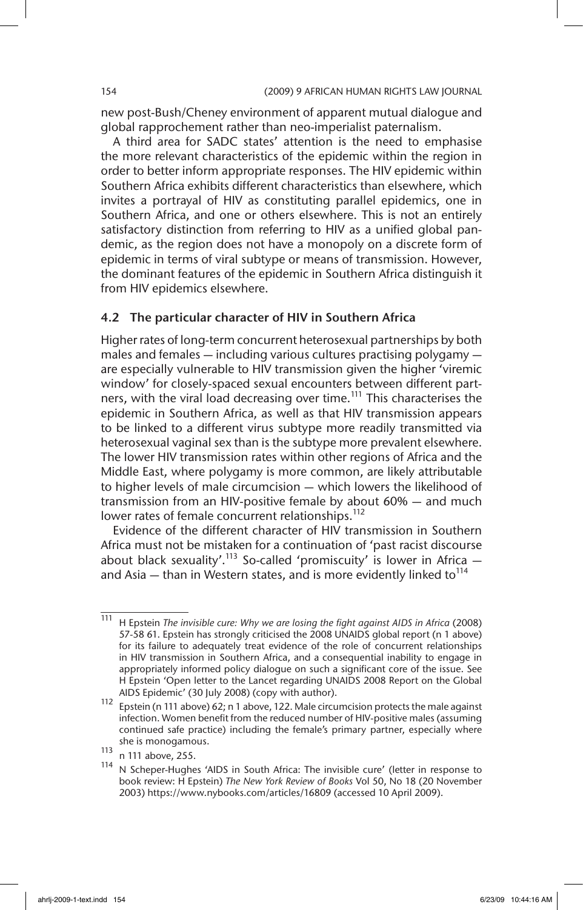new post-Bush/Cheney environment of apparent mutual dialogue and global rapprochement rather than neo-imperialist paternalism.

A third area for SADC states' attention is the need to emphasise the more relevant characteristics of the epidemic within the region in order to better inform appropriate responses. The HIV epidemic within Southern Africa exhibits different characteristics than elsewhere, which invites a portrayal of HIV as constituting parallel epidemics, one in Southern Africa, and one or others elsewhere. This is not an entirely satisfactory distinction from referring to HIV as a unified global pandemic, as the region does not have a monopoly on a discrete form of epidemic in terms of viral subtype or means of transmission. However, the dominant features of the epidemic in Southern Africa distinguish it from HIV epidemics elsewhere.

### 4.2 The particular character of HIV in Southern Africa

Higher rates of long-term concurrent heterosexual partnerships by both males and females — including various cultures practising polygamy are especially vulnerable to HIV transmission given the higher 'viremic window' for closely-spaced sexual encounters between different partners, with the viral load decreasing over time.<sup>111</sup> This characterises the epidemic in Southern Africa, as well as that HIV transmission appears to be linked to a different virus subtype more readily transmitted via heterosexual vaginal sex than is the subtype more prevalent elsewhere. The lower HIV transmission rates within other regions of Africa and the Middle East, where polygamy is more common, are likely attributable to higher levels of male circumcision — which lowers the likelihood of transmission from an HIV-positive female by about 60% — and much lower rates of female concurrent relationships.<sup>112</sup>

Evidence of the different character of HIV transmission in Southern Africa must not be mistaken for a continuation of 'past racist discourse about black sexuality'.<sup>113</sup> So-called 'promiscuity' is lower in Africa  $$ and Asia — than in Western states, and is more evidently linked to<sup>114</sup>

<sup>111</sup> H Epstein *The invisible cure: Why we are losing the fight against AIDS in Africa* (2008) 57-58 61. Epstein has strongly criticised the 2008 UNAIDS global report (n 1 above) for its failure to adequately treat evidence of the role of concurrent relationships in HIV transmission in Southern Africa, and a consequential inability to engage in appropriately informed policy dialogue on such a significant core of the issue. See H Epstein 'Open letter to the Lancet regarding UNAIDS 2008 Report on the Global AIDS Epidemic' (30 July 2008) (copy with author).

<sup>112</sup> Epstein (n 111 above) 62; n 1 above, 122. Male circumcision protects the male against infection. Women benefit from the reduced number of HIV-positive males (assuming continued safe practice) including the female's primary partner, especially where she is monogamous.

<sup>113</sup> n 111 above, 255.

<sup>114</sup> N Scheper-Hughes 'AIDS in South Africa: The invisible cure' (letter in response to book review: H Epstein) *The New York Review of Books* Vol 50, No 18 (20 November 2003) https://www.nybooks.com/articles/16809 (accessed 10 April 2009).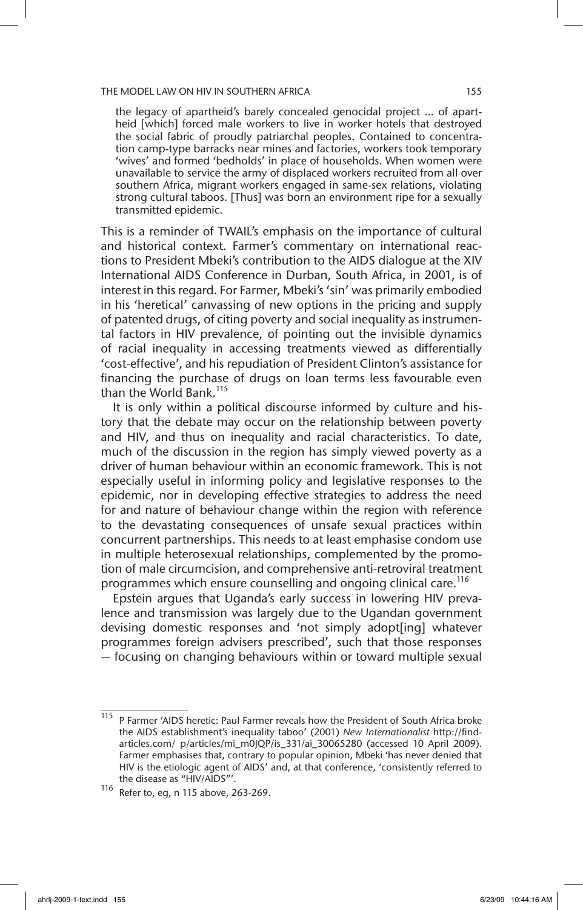the legacy of apartheid's barely concealed genocidal project … of apartheid [which] forced male workers to live in worker hotels that destroyed the social fabric of proudly patriarchal peoples. Contained to concentration camp-type barracks near mines and factories, workers took temporary 'wives' and formed 'bedholds' in place of households. When women were unavailable to service the army of displaced workers recruited from all over southern Africa, migrant workers engaged in same-sex relations, violating strong cultural taboos. [Thus] was born an environment ripe for a sexually transmitted epidemic.

This is a reminder of TWAIL's emphasis on the importance of cultural and historical context. Farmer's commentary on international reactions to President Mbeki's contribution to the AIDS dialogue at the XIV International AIDS Conference in Durban, South Africa, in 2001, is of interest in this regard. For Farmer, Mbeki's 'sin' was primarily embodied in his 'heretical' canvassing of new options in the pricing and supply of patented drugs, of citing poverty and social inequality as instrumental factors in HIV prevalence, of pointing out the invisible dynamics of racial inequality in accessing treatments viewed as differentially 'cost-effective', and his repudiation of President Clinton's assistance for financing the purchase of drugs on loan terms less favourable even than the World Bank.<sup>115</sup>

It is only within a political discourse informed by culture and history that the debate may occur on the relationship between poverty and HIV, and thus on inequality and racial characteristics. To date, much of the discussion in the region has simply viewed poverty as a driver of human behaviour within an economic framework. This is not especially useful in informing policy and legislative responses to the epidemic, nor in developing effective strategies to address the need for and nature of behaviour change within the region with reference to the devastating consequences of unsafe sexual practices within concurrent partnerships. This needs to at least emphasise condom use in multiple heterosexual relationships, complemented by the promotion of male circumcision, and comprehensive anti-retroviral treatment programmes which ensure counselling and ongoing clinical care.<sup>116</sup>

Epstein argues that Uganda's early success in lowering HIV prevalence and transmission was largely due to the Ugandan government devising domestic responses and 'not simply adopt[ing] whatever programmes foreign advisers prescribed', such that those responses — focusing on changing behaviours within or toward multiple sexual

 $\frac{115}{115}$  P Farmer 'AIDS heretic: Paul Farmer reveals how the President of South Africa broke the AIDS establishment's inequality taboo' (2001) *New Internationalist* http://findarticles.com/ p/articles/mi\_m0JQP/is\_331/ai\_30065280 (accessed 10 April 2009). Farmer emphasises that, contrary to popular opinion, Mbeki 'has never denied that HIV is the etiologic agent of AIDS' and, at that conference, 'consistently referred to the disease as "HIV/AIDS"'.

<sup>116</sup> Refer to, eg, n 115 above, 263-269.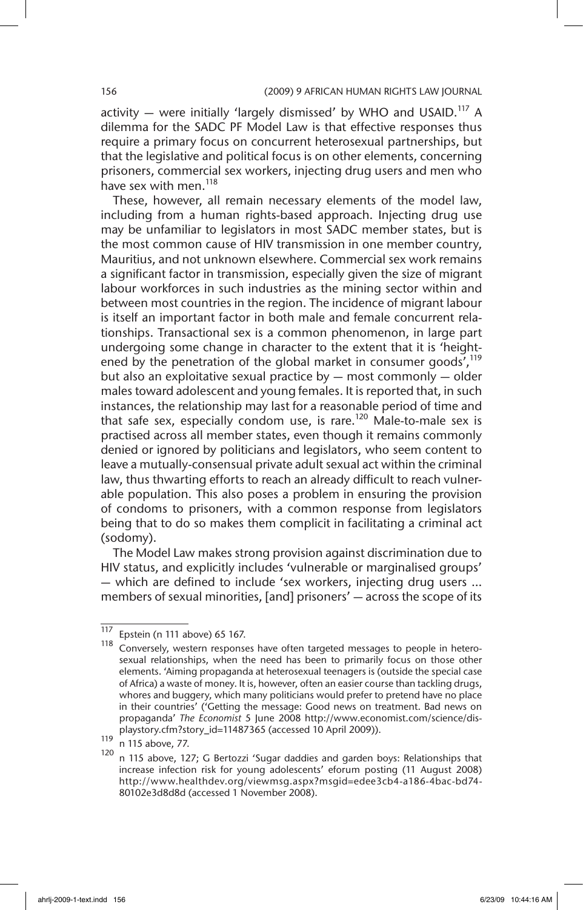activity  $-$  were initially 'largely dismissed' by WHO and USAID.<sup>117</sup> A dilemma for the SADC PF Model Law is that effective responses thus require a primary focus on concurrent heterosexual partnerships, but that the legislative and political focus is on other elements, concerning prisoners, commercial sex workers, injecting drug users and men who have sex with men.<sup>118</sup>

These, however, all remain necessary elements of the model law, including from a human rights-based approach. Injecting drug use may be unfamiliar to legislators in most SADC member states, but is the most common cause of HIV transmission in one member country, Mauritius, and not unknown elsewhere. Commercial sex work remains a significant factor in transmission, especially given the size of migrant labour workforces in such industries as the mining sector within and between most countries in the region. The incidence of migrant labour is itself an important factor in both male and female concurrent relationships. Transactional sex is a common phenomenon, in large part undergoing some change in character to the extent that it is 'heightened by the penetration of the global market in consumer goods', $^{119}$ but also an exploitative sexual practice by — most commonly — older males toward adolescent and young females. It is reported that, in such instances, the relationship may last for a reasonable period of time and that safe sex, especially condom use, is rare.<sup>120</sup> Male-to-male sex is practised across all member states, even though it remains commonly denied or ignored by politicians and legislators, who seem content to leave a mutually-consensual private adult sexual act within the criminal law, thus thwarting efforts to reach an already difficult to reach vulnerable population. This also poses a problem in ensuring the provision of condoms to prisoners, with a common response from legislators being that to do so makes them complicit in facilitating a criminal act (sodomy).

The Model Law makes strong provision against discrimination due to HIV status, and explicitly includes 'vulnerable or marginalised groups' — which are defined to include 'sex workers, injecting drug users ... members of sexual minorities, [and] prisoners' — across the scope of its

 $\frac{117}{118}$  Epstein (n 111 above) 65 167.

Conversely, western responses have often targeted messages to people in heterosexual relationships, when the need has been to primarily focus on those other elements. 'Aiming propaganda at heterosexual teenagers is (outside the special case of Africa) a waste of money. It is, however, often an easier course than tackling drugs, whores and buggery, which many politicians would prefer to pretend have no place in their countries' ('Getting the message: Good news on treatment. Bad news on propaganda' *The Economist* 5 June 2008 http://www.economist.com/science/displaystory.cfm?story\_id=11487365 (accessed 10 April 2009)).

 $\frac{119}{120}$  n 115 above, 77.

n 115 above, 127; G Bertozzi 'Sugar daddies and garden boys: Relationships that increase infection risk for young adolescents' eforum posting (11 August 2008) http://www.healthdev.org/viewmsg.aspx?msgid=edee3cb4-a186-4bac-bd74- 80102e3d8d8d (accessed 1 November 2008).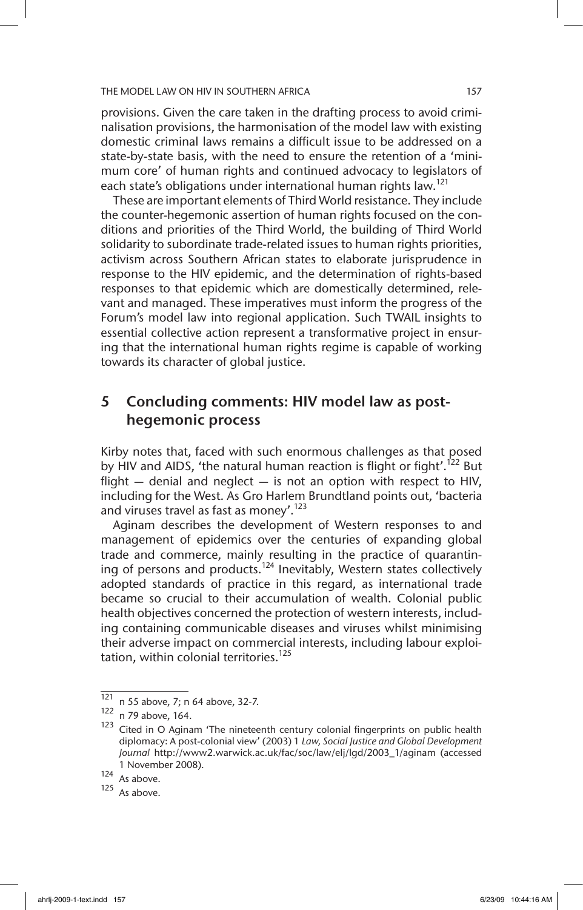provisions. Given the care taken in the drafting process to avoid criminalisation provisions, the harmonisation of the model law with existing domestic criminal laws remains a difficult issue to be addressed on a state-by-state basis, with the need to ensure the retention of a 'minimum core' of human rights and continued advocacy to legislators of each state's obligations under international human rights law.<sup>121</sup>

These are important elements of Third World resistance. They include the counter-hegemonic assertion of human rights focused on the conditions and priorities of the Third World, the building of Third World solidarity to subordinate trade-related issues to human rights priorities, activism across Southern African states to elaborate jurisprudence in response to the HIV epidemic, and the determination of rights-based responses to that epidemic which are domestically determined, relevant and managed. These imperatives must inform the progress of the Forum's model law into regional application. Such TWAIL insights to essential collective action represent a transformative project in ensuring that the international human rights regime is capable of working towards its character of global justice.

# 5 Concluding comments: HIV model law as posthegemonic process

Kirby notes that, faced with such enormous challenges as that posed by HIV and AIDS, 'the natural human reaction is flight or fight'.<sup>122</sup> But flight  $-$  denial and neglect  $-$  is not an option with respect to HIV, including for the West. As Gro Harlem Brundtland points out, 'bacteria and viruses travel as fast as money'.<sup>123</sup>

Aginam describes the development of Western responses to and management of epidemics over the centuries of expanding global trade and commerce, mainly resulting in the practice of quarantining of persons and products.<sup>124</sup> Inevitably, Western states collectively adopted standards of practice in this regard, as international trade became so crucial to their accumulation of wealth. Colonial public health objectives concerned the protection of western interests, including containing communicable diseases and viruses whilst minimising their adverse impact on commercial interests, including labour exploitation, within colonial territories.<sup>125</sup>

 $\frac{121}{121}$  n 55 above, 7; n 64 above, 32-7.

<sup>122</sup> n 79 above, 164.

<sup>123</sup> Cited in O Aginam 'The nineteenth century colonial fingerprints on public health diplomacy: A post-colonial view' (2003) 1 *Law, Social Justice and Global Development Journal* http://www2.warwick.ac.uk/fac/soc/law/elj/lgd/2003\_1/aginam (accessed 1 November 2008).

<sup>124</sup> As above.

 $125$  As above.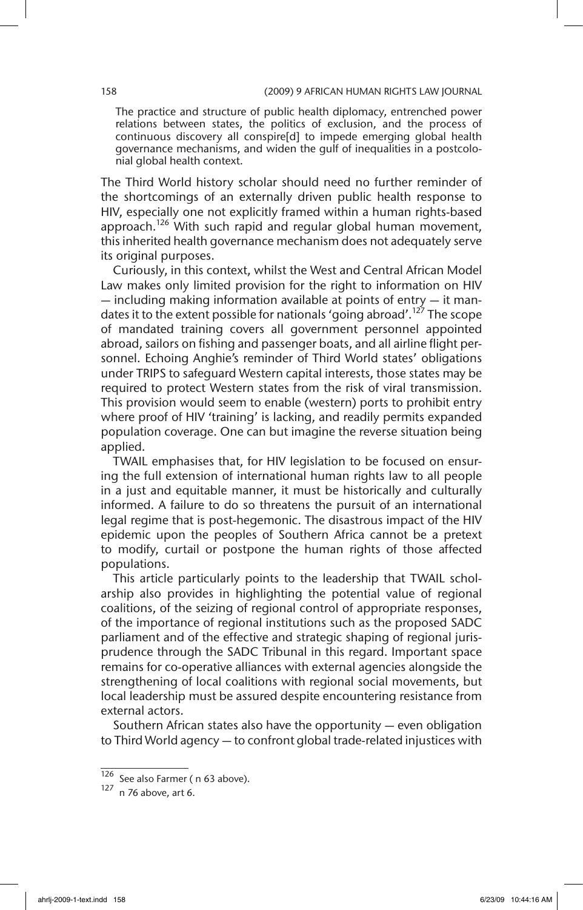The practice and structure of public health diplomacy, entrenched power relations between states, the politics of exclusion, and the process of continuous discovery all conspire[d] to impede emerging global health governance mechanisms, and widen the gulf of inequalities in a postcolonial global health context.

The Third World history scholar should need no further reminder of the shortcomings of an externally driven public health response to HIV, especially one not explicitly framed within a human rights-based approach.<sup>126</sup> With such rapid and regular global human movement, this inherited health governance mechanism does not adequately serve its original purposes.

Curiously, in this context, whilst the West and Central African Model Law makes only limited provision for the right to information on HIV  $-$  including making information available at points of entry  $-$  it mandates it to the extent possible for nationals 'going abroad'.<sup>127</sup> The scope of mandated training covers all government personnel appointed abroad, sailors on fishing and passenger boats, and all airline flight personnel. Echoing Anghie's reminder of Third World states' obligations under TRIPS to safeguard Western capital interests, those states may be required to protect Western states from the risk of viral transmission. This provision would seem to enable (western) ports to prohibit entry where proof of HIV 'training' is lacking, and readily permits expanded population coverage. One can but imagine the reverse situation being applied.

TWAIL emphasises that, for HIV legislation to be focused on ensuring the full extension of international human rights law to all people in a just and equitable manner, it must be historically and culturally informed. A failure to do so threatens the pursuit of an international legal regime that is post-hegemonic. The disastrous impact of the HIV epidemic upon the peoples of Southern Africa cannot be a pretext to modify, curtail or postpone the human rights of those affected populations.

This article particularly points to the leadership that TWAIL scholarship also provides in highlighting the potential value of regional coalitions, of the seizing of regional control of appropriate responses, of the importance of regional institutions such as the proposed SADC parliament and of the effective and strategic shaping of regional jurisprudence through the SADC Tribunal in this regard. Important space remains for co-operative alliances with external agencies alongside the strengthening of local coalitions with regional social movements, but local leadership must be assured despite encountering resistance from external actors.

Southern African states also have the opportunity — even obligation to Third World agency — to confront global trade-related injustices with

 $^{120}$  See also Farmer ( n 63 above).<br> $^{127}$  n 76 above art 6

n 76 above, art 6.